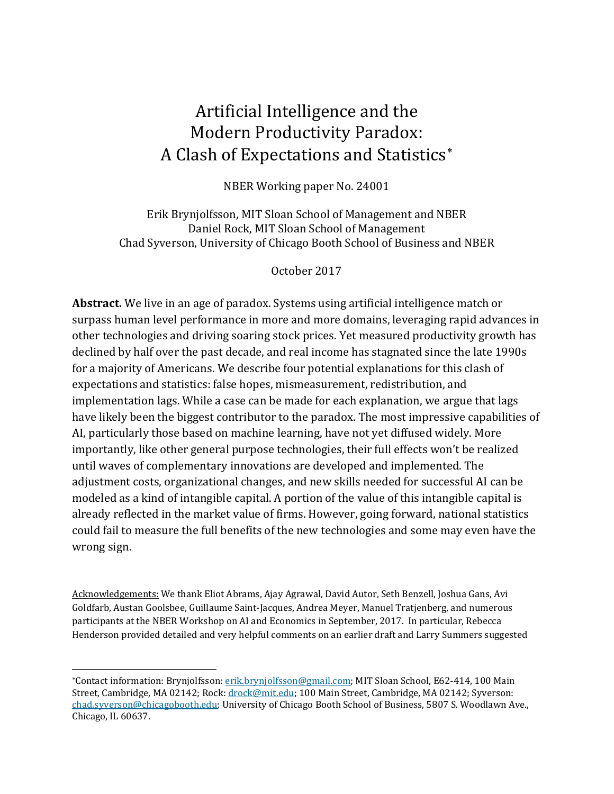# Artificial Intelligence and the Modern Productivity Paradox: A Clash of Expectations and Statistics[∗](#page-0-0)

NBER Working paper No. 24001

Erik Brynjolfsson, MIT Sloan School of Management and NBER Daniel Rock, MIT Sloan School of Management Chad Syverson, University of Chicago Booth School of Business and NBER

October 2017

**Abstract.** We live in an age of paradox. Systems using artificial intelligence match or surpass human level performance in more and more domains, leveraging rapid advances in other technologies and driving soaring stock prices. Yet measured productivity growth has declined by half over the past decade, and real income has stagnated since the late 1990s for a majority of Americans. We describe four potential explanations for this clash of expectations and statistics: false hopes, mismeasurement, redistribution, and implementation lags. While a case can be made for each explanation, we argue that lags have likely been the biggest contributor to the paradox. The most impressive capabilities of AI, particularly those based on machine learning, have not yet diffused widely. More importantly, like other general purpose technologies, their full effects won't be realized until waves of complementary innovations are developed and implemented. The adjustment costs, organizational changes, and new skills needed for successful AI can be modeled as a kind of intangible capital. A portion of the value of this intangible capital is already reflected in the market value of firms. However, going forward, national statistics could fail to measure the full benefits of the new technologies and some may even have the wrong sign.

Acknowledgements: We thank Eliot Abrams, Ajay Agrawal, David Autor, Seth Benzell, Joshua Gans, Avi Goldfarb, Austan Goolsbee, Guillaume Saint-Jacques, Andrea Meyer, Manuel Tratjenberg, and numerous participants at the NBER Workshop on AI and Economics in September, 2017. In particular, Rebecca Henderson provided detailed and very helpful comments on an earlier draft and Larry Summers suggested

<span id="page-0-0"></span>∗ Contact information: Brynjolfsson: [erik.brynjolfsson@gmail.com;](mailto:erik.brynjolfsson@gmail.com) MIT Sloan School, E62-414, 100 Main Street, Cambridge, MA 02142; Rock: [drock@mit.edu;](mailto:drock@mit.edu) 100 Main Street, Cambridge, MA 02142; Syverson: [chad.syverson@chicagobooth.edu;](mailto:chad.syverson@chicagobooth.edu) University of Chicago Booth School of Business, 5807 S. Woodlawn Ave., Chicago, IL 60637.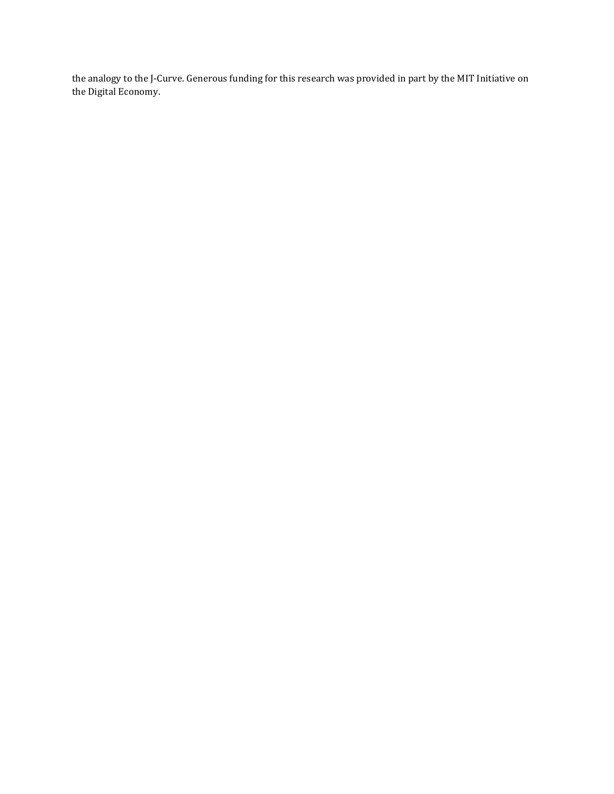the analogy to the J-Curve. Generous funding for this research was provided in part by the MIT Initiative on the Digital Economy.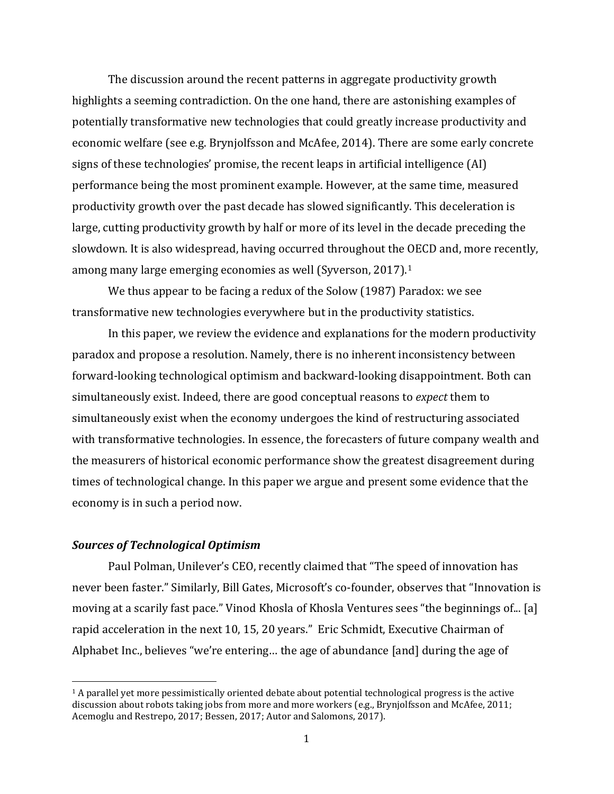The discussion around the recent patterns in aggregate productivity growth highlights a seeming contradiction. On the one hand, there are astonishing examples of potentially transformative new technologies that could greatly increase productivity and economic welfare (see e.g. Brynjolfsson and McAfee, 2014). There are some early concrete signs of these technologies' promise, the recent leaps in artificial intelligence (AI) performance being the most prominent example. However, at the same time, measured productivity growth over the past decade has slowed significantly. This deceleration is large, cutting productivity growth by half or more of its level in the decade preceding the slowdown. It is also widespread, having occurred throughout the OECD and, more recently, among many large emerging economies as well (Syverson, 2017).[1](#page-2-0)

We thus appear to be facing a redux of the Solow (1987) Paradox: we see transformative new technologies everywhere but in the productivity statistics.

In this paper, we review the evidence and explanations for the modern productivity paradox and propose a resolution. Namely, there is no inherent inconsistency between forward-looking technological optimism and backward-looking disappointment. Both can simultaneously exist. Indeed, there are good conceptual reasons to *expect* them to simultaneously exist when the economy undergoes the kind of restructuring associated with transformative technologies. In essence, the forecasters of future company wealth and the measurers of historical economic performance show the greatest disagreement during times of technological change. In this paper we argue and present some evidence that the economy is in such a period now.

#### *Sources of Technological Optimism*

Paul Polman, Unilever's CEO, recently claimed that "The speed of innovation has never been faster." Similarly, Bill Gates, Microsoft's co-founder, observes that "Innovation is moving at a scarily fast pace." Vinod Khosla of Khosla Ventures sees "the beginnings of... [a] rapid acceleration in the next 10, 15, 20 years." Eric Schmidt, Executive Chairman of Alphabet Inc., believes "we're entering… the age of abundance [and] during the age of

<span id="page-2-0"></span> $1$  A parallel yet more pessimistically oriented debate about potential technological progress is the active discussion about robots taking jobs from more and more workers (e.g., Brynjolfsson and McAfee, 2011; Acemoglu and Restrepo, 2017; Bessen, 2017; Autor and Salomons, 2017).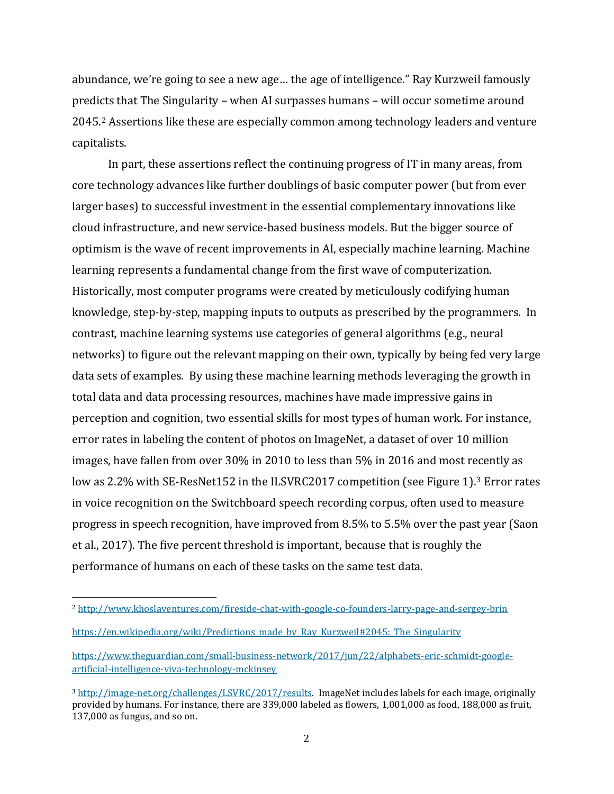abundance, we're going to see a new age… the age of intelligence." Ray Kurzweil famously predicts that The Singularity – when AI surpasses humans – will occur sometime around 2045.[2](#page-3-0) Assertions like these are especially common among technology leaders and venture capitalists.

In part, these assertions reflect the continuing progress of IT in many areas, from core technology advances like further doublings of basic computer power (but from ever larger bases) to successful investment in the essential complementary innovations like cloud infrastructure, and new service-based business models. But the bigger source of optimism is the wave of recent improvements in AI, especially machine learning. Machine learning represents a fundamental change from the first wave of computerization. Historically, most computer programs were created by meticulously codifying human knowledge, step-by-step, mapping inputs to outputs as prescribed by the programmers. In contrast, machine learning systems use categories of general algorithms (e.g., neural networks) to figure out the relevant mapping on their own, typically by being fed very large data sets of examples. By using these machine learning methods leveraging the growth in total data and data processing resources, machines have made impressive gains in perception and cognition, two essential skills for most types of human work. For instance, error rates in labeling the content of photos on ImageNet, a dataset of over 10 million images, have fallen from over 30% in 2010 to less than 5% in 2016 and most recently as low as 2.2% with SE-ResNet152 in the ILSVRC2017 competition (see Figure 1).<sup>[3](#page-3-1)</sup> Error rates in voice recognition on the Switchboard speech recording corpus, often used to measure progress in speech recognition, have improved from 8.5% to 5.5% over the past year (Saon et al., 2017). The five percent threshold is important, because that is roughly the performance of humans on each of these tasks on the same test data.

<span id="page-3-0"></span> <sup>2</sup> <http://www.khoslaventures.com/fireside-chat-with-google-co-founders-larry-page-and-sergey-brin>

[https://en.wikipedia.org/wiki/Predictions\\_made\\_by\\_Ray\\_Kurzweil#2045:\\_The\\_Singularity](https://en.wikipedia.org/wiki/Predictions_made_by_Ray_Kurzweil#2045:_The_Singularity)

[https://www.theguardian.com/small-business-network/2017/jun/22/alphabets-eric-schmidt-google](https://www.theguardian.com/small-business-network/2017/jun/22/alphabets-eric-schmidt-google-artificial-intelligence-viva-technology-mckinsey)[artificial-intelligence-viva-technology-mckinsey](https://www.theguardian.com/small-business-network/2017/jun/22/alphabets-eric-schmidt-google-artificial-intelligence-viva-technology-mckinsey)

<span id="page-3-1"></span><sup>3</sup> [http://image-net.org/challenges/LSVRC/2017/results.](http://image-net.org/challenges/LSVRC/2017/results) ImageNet includes labels for each image, originally provided by humans. For instance, there are 339,000 labeled as flowers, 1,001,000 as food, 188,000 as fruit, 137,000 as fungus, and so on.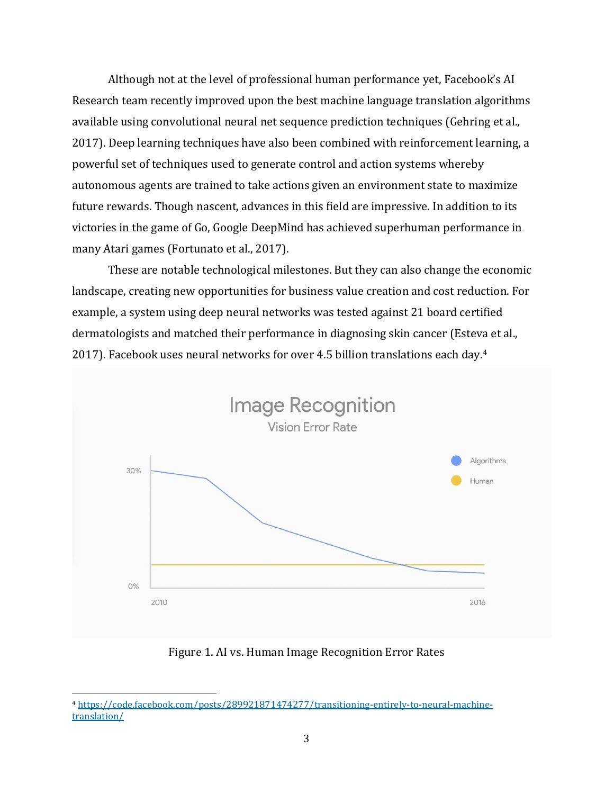Although not at the level of professional human performance yet, Facebook's AI Research team recently improved upon the best machine language translation algorithms available using convolutional neural net sequence prediction techniques (Gehring et al., 2017). Deep learning techniques have also been combined with reinforcement learning, a powerful set of techniques used to generate control and action systems whereby autonomous agents are trained to take actions given an environment state to maximize future rewards. Though nascent, advances in this field are impressive. In addition to its victories in the game of Go, Google DeepMind has achieved superhuman performance in many Atari games (Fortunato et al., 2017).

These are notable technological milestones. But they can also change the economic landscape, creating new opportunities for business value creation and cost reduction. For example, a system using deep neural networks was tested against 21 board certified dermatologists and matched their performance in diagnosing skin cancer (Esteva et al., 2017). Facebook uses neural networks for over 4.5 billion translations each day.[4](#page-4-0)



Figure 1. AI vs. Human Image Recognition Error Rates

<span id="page-4-0"></span> <sup>4</sup> [https://code.facebook.com/posts/289921871474277/transitioning-entirely-to-neural-machine](https://code.facebook.com/posts/289921871474277/transitioning-entirely-to-neural-machine-translation/)[translation/](https://code.facebook.com/posts/289921871474277/transitioning-entirely-to-neural-machine-translation/)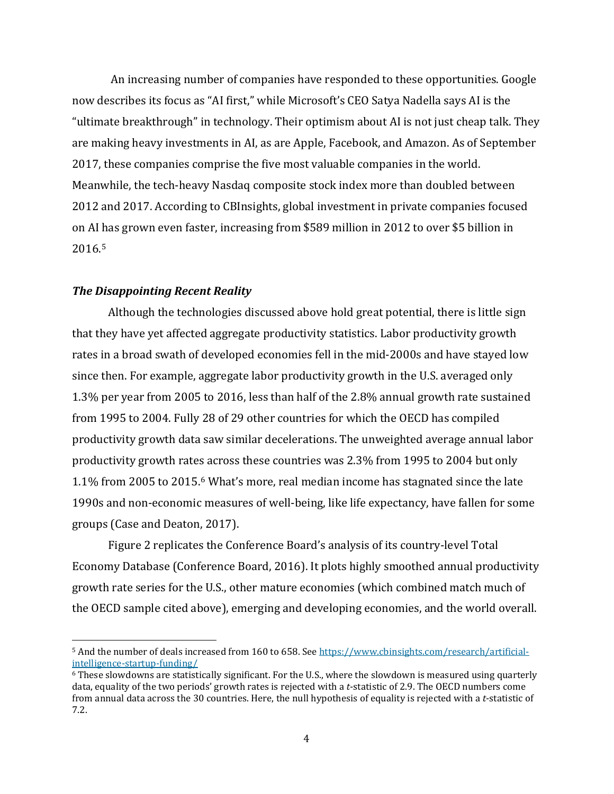An increasing number of companies have responded to these opportunities. Google now describes its focus as "AI first," while Microsoft's CEO Satya Nadella says AI is the "ultimate breakthrough" in technology. Their optimism about AI is not just cheap talk. They are making heavy investments in AI, as are Apple, Facebook, and Amazon. As of September 2017, these companies comprise the five most valuable companies in the world. Meanwhile, the tech-heavy Nasdaq composite stock index more than doubled between 2012 and 2017. According to CBInsights, global investment in private companies focused on AI has grown even faster, increasing from \$589 million in 2012 to over \$5 billion in 2016.[5](#page-5-0)

#### *The Disappointing Recent Reality*

Although the technologies discussed above hold great potential, there is little sign that they have yet affected aggregate productivity statistics. Labor productivity growth rates in a broad swath of developed economies fell in the mid-2000s and have stayed low since then. For example, aggregate labor productivity growth in the U.S. averaged only 1.3% per year from 2005 to 2016, less than half of the 2.8% annual growth rate sustained from 1995 to 2004. Fully 28 of 29 other countries for which the OECD has compiled productivity growth data saw similar decelerations. The unweighted average annual labor productivity growth rates across these countries was 2.3% from 1995 to 2004 but only 1.1% from 2005 to 2015.[6](#page-5-1) What's more, real median income has stagnated since the late 1990s and non-economic measures of well-being, like life expectancy, have fallen for some groups (Case and Deaton, 2017).

Figure 2 replicates the Conference Board's analysis of its country-level Total Economy Database (Conference Board, 2016). It plots highly smoothed annual productivity growth rate series for the U.S., other mature economies (which combined match much of the OECD sample cited above), emerging and developing economies, and the world overall.

<span id="page-5-0"></span> <sup>5</sup> And the number of deals increased from 160 to 658. Se[e https://www.cbinsights.com/research/artificial](https://www.cbinsights.com/research/artificial-intelligence-startup-funding/)[intelligence-startup-funding/](https://www.cbinsights.com/research/artificial-intelligence-startup-funding/)

<span id="page-5-1"></span><sup>6</sup> These slowdowns are statistically significant. For the U.S., where the slowdown is measured using quarterly data, equality of the two periods' growth rates is rejected with a *t*-statistic of 2.9. The OECD numbers come from annual data across the 30 countries. Here, the null hypothesis of equality is rejected with a *t*-statistic of 7.2.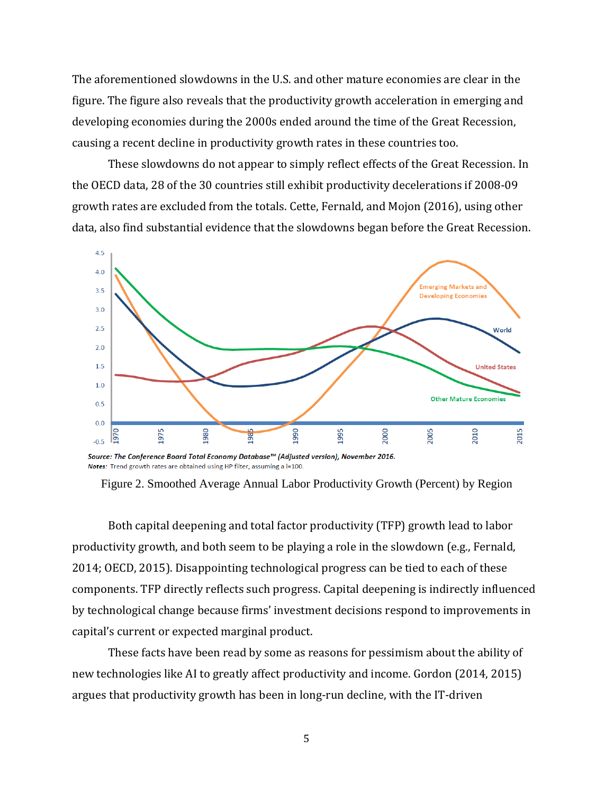The aforementioned slowdowns in the U.S. and other mature economies are clear in the figure. The figure also reveals that the productivity growth acceleration in emerging and developing economies during the 2000s ended around the time of the Great Recession, causing a recent decline in productivity growth rates in these countries too.

These slowdowns do not appear to simply reflect effects of the Great Recession. In the OECD data, 28 of the 30 countries still exhibit productivity decelerations if 2008-09 growth rates are excluded from the totals. Cette, Fernald, and Mojon (2016), using other data, also find substantial evidence that the slowdowns began before the Great Recession.



Source: The Conference Board Total Economy Database™ (Adjusted version), November 2016. Notes: Trend growth rates are obtained using HP filter, assuming a l=100.



Both capital deepening and total factor productivity (TFP) growth lead to labor productivity growth, and both seem to be playing a role in the slowdown (e.g., Fernald, 2014; OECD, 2015). Disappointing technological progress can be tied to each of these components. TFP directly reflects such progress. Capital deepening is indirectly influenced by technological change because firms' investment decisions respond to improvements in capital's current or expected marginal product.

These facts have been read by some as reasons for pessimism about the ability of new technologies like AI to greatly affect productivity and income. Gordon (2014, 2015) argues that productivity growth has been in long-run decline, with the IT-driven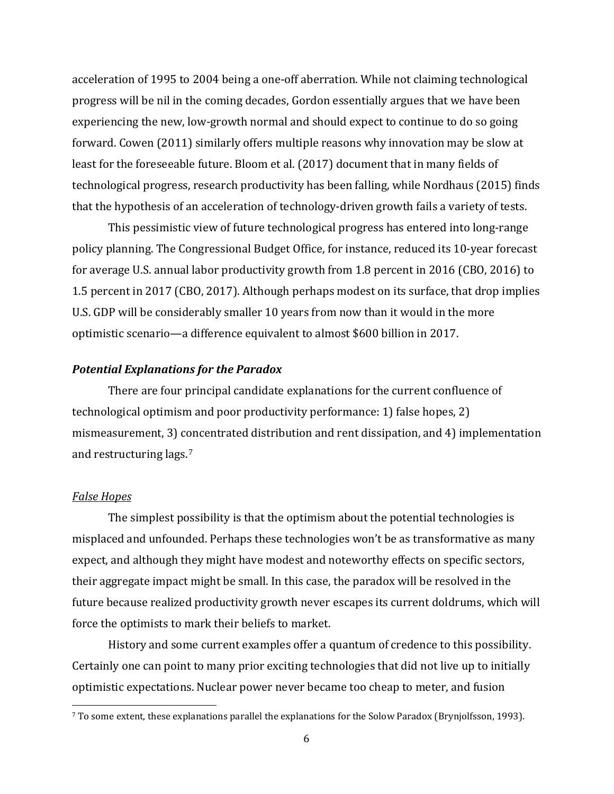acceleration of 1995 to 2004 being a one-off aberration. While not claiming technological progress will be nil in the coming decades, Gordon essentially argues that we have been experiencing the new, low-growth normal and should expect to continue to do so going forward. Cowen (2011) similarly offers multiple reasons why innovation may be slow at least for the foreseeable future. Bloom et al. (2017) document that in many fields of technological progress, research productivity has been falling, while Nordhaus (2015) finds that the hypothesis of an acceleration of technology-driven growth fails a variety of tests.

This pessimistic view of future technological progress has entered into long-range policy planning. The Congressional Budget Office, for instance, reduced its 10-year forecast for average U.S. annual labor productivity growth from 1.8 percent in 2016 (CBO, 2016) to 1.5 percent in 2017 (CBO, 2017). Although perhaps modest on its surface, that drop implies U.S. GDP will be considerably smaller 10 years from now than it would in the more optimistic scenario—a difference equivalent to almost \$600 billion in 2017.

# *Potential Explanations for the Paradox*

There are four principal candidate explanations for the current confluence of technological optimism and poor productivity performance: 1) false hopes, 2) mismeasurement, 3) c[on](#page-7-0)centrated distribution and rent dissipation, and 4) implementation and restructuring lags. 7

# *False Hopes*

The simplest possibility is that the optimism about the potential technologies is misplaced and unfounded. Perhaps these technologies won't be as transformative as many expect, and although they might have modest and noteworthy effects on specific sectors, their aggregate impact might be small. In this case, the paradox will be resolved in the future because realized productivity growth never escapes its current doldrums, which will force the optimists to mark their beliefs to market.

History and some current examples offer a quantum of credence to this possibility. Certainly one can point to many prior exciting technologies that did not live up to initially optimistic expectations. Nuclear power never became too cheap to meter, and fusion

<span id="page-7-0"></span> <sup>7</sup> To some extent, these explanations parallel the explanations for the Solow Paradox (Brynjolfsson, 1993).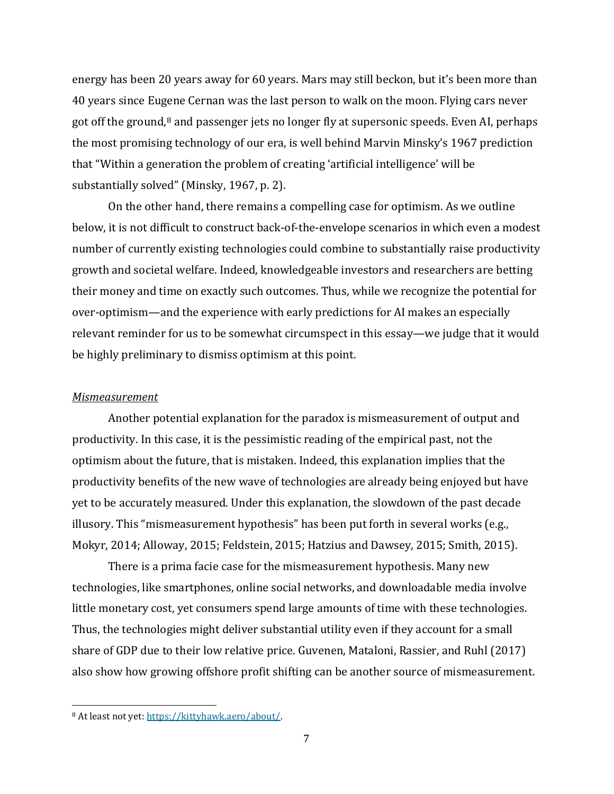energy has been 20 years away for 60 years. Mars may still beckon, but it's been more than 40 years since Eugene Cernan was the last person to walk on the moon. Flying cars never got off the ground, $8$  and passenger jets no longer fly at supersonic speeds. Even AI, perhaps the most promising technology of our era, is well behind Marvin Minsky's 1967 prediction that "Within a generation the problem of creating 'artificial intelligence' will be substantially solved" (Minsky, 1967, p. 2).

On the other hand, there remains a compelling case for optimism. As we outline below, it is not difficult to construct back-of-the-envelope scenarios in which even a modest number of currently existing technologies could combine to substantially raise productivity growth and societal welfare. Indeed, knowledgeable investors and researchers are betting their money and time on exactly such outcomes. Thus, while we recognize the potential for over-optimism—and the experience with early predictions for AI makes an especially relevant reminder for us to be somewhat circumspect in this essay—we judge that it would be highly preliminary to dismiss optimism at this point.

#### *Mismeasurement*

Another potential explanation for the paradox is mismeasurement of output and productivity. In this case, it is the pessimistic reading of the empirical past, not the optimism about the future, that is mistaken. Indeed, this explanation implies that the productivity benefits of the new wave of technologies are already being enjoyed but have yet to be accurately measured. Under this explanation, the slowdown of the past decade illusory. This "mismeasurement hypothesis" has been put forth in several works (e.g., Mokyr, 2014; Alloway, 2015; Feldstein, 2015; Hatzius and Dawsey, 2015; Smith, 2015).

There is a prima facie case for the mismeasurement hypothesis. Many new technologies, like smartphones, online social networks, and downloadable media involve little monetary cost, yet consumers spend large amounts of time with these technologies. Thus, the technologies might deliver substantial utility even if they account for a small share of GDP due to their low relative price. Guvenen, Mataloni, Rassier, and Ruhl (2017) also show how growing offshore profit shifting can be another source of mismeasurement.

<span id="page-8-0"></span><sup>8</sup> At least not yet[: https://kittyhawk.aero/about/.](https://kittyhawk.aero/about/)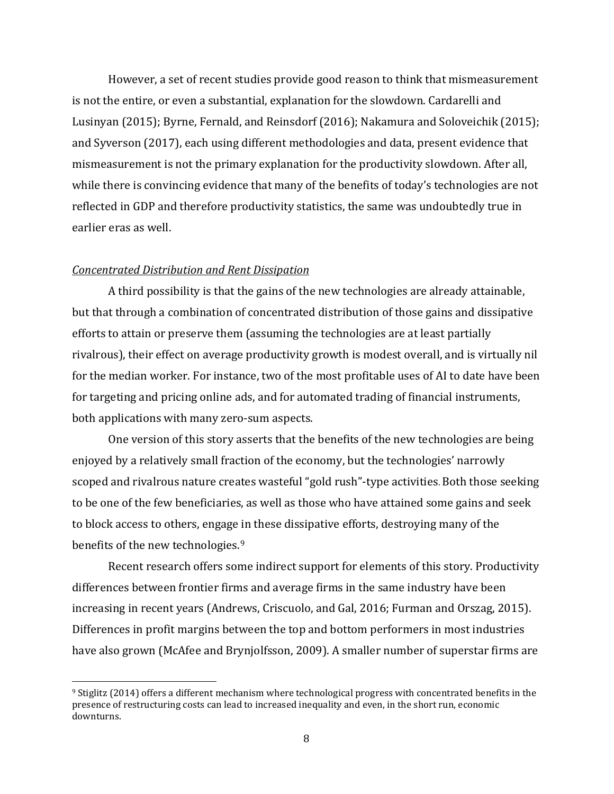However, a set of recent studies provide good reason to think that mismeasurement is not the entire, or even a substantial, explanation for the slowdown. Cardarelli and Lusinyan (2015); Byrne, Fernald, and Reinsdorf (2016); Nakamura and Soloveichik (2015); and Syverson (2017), each using different methodologies and data, present evidence that mismeasurement is not the primary explanation for the productivity slowdown. After all, while there is convincing evidence that many of the benefits of today's technologies are not reflected in GDP and therefore productivity statistics, the same was undoubtedly true in earlier eras as well.

# *Concentrated Distribution and Rent Dissipation*

A third possibility is that the gains of the new technologies are already attainable, but that through a combination of concentrated distribution of those gains and dissipative efforts to attain or preserve them (assuming the technologies are at least partially rivalrous), their effect on average productivity growth is modest overall, and is virtually nil for the median worker. For instance, two of the most profitable uses of AI to date have been for targeting and pricing online ads, and for automated trading of financial instruments, both applications with many zero-sum aspects.

One version of this story asserts that the benefits of the new technologies are being enjoyed by a relatively small fraction of the economy, but the technologies' narrowly scoped and rivalrous nature creates wasteful "gold rush"-type activities. Both those seeking to be one of the few beneficiaries, as well as those who have attained some gains and seek to block access to others, engage in these dissipative efforts, destroying many of the benefits of the new technologies.<sup>[9](#page-9-0)</sup>

Recent research offers some indirect support for elements of this story. Productivity differences between frontier firms and average firms in the same industry have been increasing in recent years (Andrews, Criscuolo, and Gal, 2016; Furman and Orszag, 2015). Differences in profit margins between the top and bottom performers in most industries have also grown (McAfee and Brynjolfsson, 2009). A smaller number of superstar firms are

<span id="page-9-0"></span> <sup>9</sup> Stiglitz (2014) offers a different mechanism where technological progress with concentrated benefits in the presence of restructuring costs can lead to increased inequality and even, in the short run, economic downturns.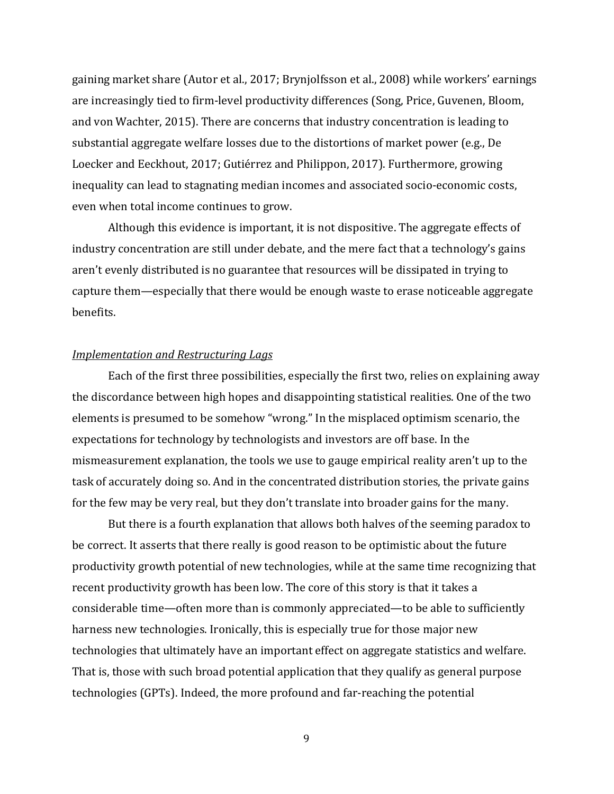gaining market share (Autor et al., 2017; Brynjolfsson et al., 2008) while workers' earnings are increasingly tied to firm-level productivity differences (Song, Price, Guvenen, Bloom, and von Wachter, 2015). There are concerns that industry concentration is leading to substantial aggregate welfare losses due to the distortions of market power (e.g., De Loecker and Eeckhout, 2017; [Gutiérrez](http://www.nber.org/people/german_gutierrez) and [Philippon,](http://www.nber.org/people/thomas_philippon) 2017). Furthermore, growing inequality can lead to stagnating median incomes and associated socio-economic costs, even when total income continues to grow.

Although this evidence is important, it is not dispositive. The aggregate effects of industry concentration are still under debate, and the mere fact that a technology's gains aren't evenly distributed is no guarantee that resources will be dissipated in trying to capture them—especially that there would be enough waste to erase noticeable aggregate benefits.

#### *Implementation and Restructuring Lags*

Each of the first three possibilities, especially the first two, relies on explaining away the discordance between high hopes and disappointing statistical realities. One of the two elements is presumed to be somehow "wrong." In the misplaced optimism scenario, the expectations for technology by technologists and investors are off base. In the mismeasurement explanation, the tools we use to gauge empirical reality aren't up to the task of accurately doing so. And in the concentrated distribution stories, the private gains for the few may be very real, but they don't translate into broader gains for the many.

But there is a fourth explanation that allows both halves of the seeming paradox to be correct. It asserts that there really is good reason to be optimistic about the future productivity growth potential of new technologies, while at the same time recognizing that recent productivity growth has been low. The core of this story is that it takes a considerable time—often more than is commonly appreciated—to be able to sufficiently harness new technologies. Ironically, this is especially true for those major new technologies that ultimately have an important effect on aggregate statistics and welfare. That is, those with such broad potential application that they qualify as general purpose technologies (GPTs). Indeed, the more profound and far-reaching the potential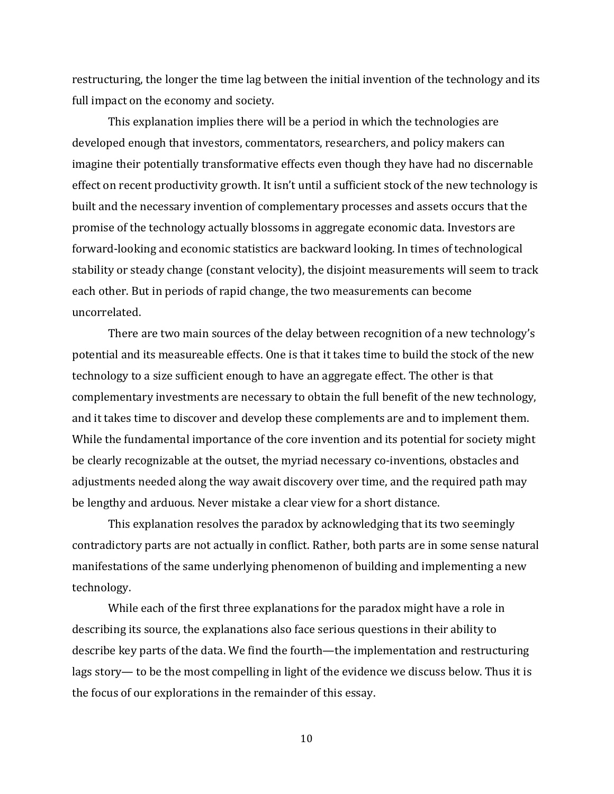restructuring, the longer the time lag between the initial invention of the technology and its full impact on the economy and society.

This explanation implies there will be a period in which the technologies are developed enough that investors, commentators, researchers, and policy makers can imagine their potentially transformative effects even though they have had no discernable effect on recent productivity growth. It isn't until a sufficient stock of the new technology is built and the necessary invention of complementary processes and assets occurs that the promise of the technology actually blossoms in aggregate economic data. Investors are forward-looking and economic statistics are backward looking. In times of technological stability or steady change (constant velocity), the disjoint measurements will seem to track each other. But in periods of rapid change, the two measurements can become uncorrelated.

There are two main sources of the delay between recognition of a new technology's potential and its measureable effects. One is that it takes time to build the stock of the new technology to a size sufficient enough to have an aggregate effect. The other is that complementary investments are necessary to obtain the full benefit of the new technology, and it takes time to discover and develop these complements are and to implement them. While the fundamental importance of the core invention and its potential for society might be clearly recognizable at the outset, the myriad necessary co-inventions, obstacles and adjustments needed along the way await discovery over time, and the required path may be lengthy and arduous. Never mistake a clear view for a short distance.

This explanation resolves the paradox by acknowledging that its two seemingly contradictory parts are not actually in conflict. Rather, both parts are in some sense natural manifestations of the same underlying phenomenon of building and implementing a new technology.

While each of the first three explanations for the paradox might have a role in describing its source, the explanations also face serious questions in their ability to describe key parts of the data. We find the fourth—the implementation and restructuring lags story— to be the most compelling in light of the evidence we discuss below. Thus it is the focus of our explorations in the remainder of this essay.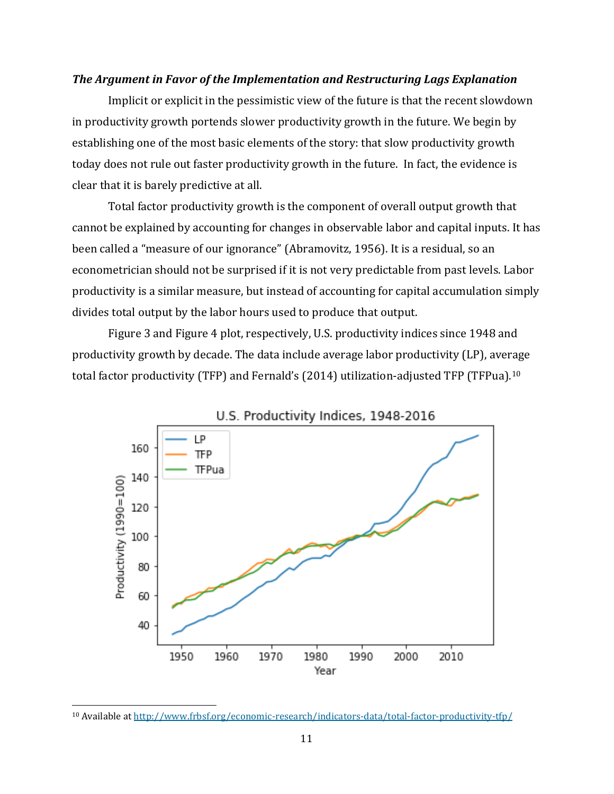#### *The Argument in Favor of the Implementation and Restructuring Lags Explanation*

Implicit or explicit in the pessimistic view of the future is that the recent slowdown in productivity growth portends slower productivity growth in the future. We begin by establishing one of the most basic elements of the story: that slow productivity growth today does not rule out faster productivity growth in the future. In fact, the evidence is clear that it is barely predictive at all.

Total factor productivity growth is the component of overall output growth that cannot be explained by accounting for changes in observable labor and capital inputs. It has been called a "measure of our ignorance" (Abramovitz, 1956). It is a residual, so an econometrician should not be surprised if it is not very predictable from past levels. Labor productivity is a similar measure, but instead of accounting for capital accumulation simply divides total output by the labor hours used to produce that output.

Figure 3 and Figure 4 plot, respectively, U.S. productivity indices since 1948 and productivity growth by decade. The data include average labor productivity (LP), average total factor productivity (TFP) and Fernald's (2014) utilization-adjusted TFP (TFPua).[10](#page-12-0)



<span id="page-12-0"></span> <sup>10</sup> Available a[t http://www.frbsf.org/economic-research/indicators-data/total-factor-productivity-tfp/](http://www.frbsf.org/economic-research/indicators-data/total-factor-productivity-tfp/)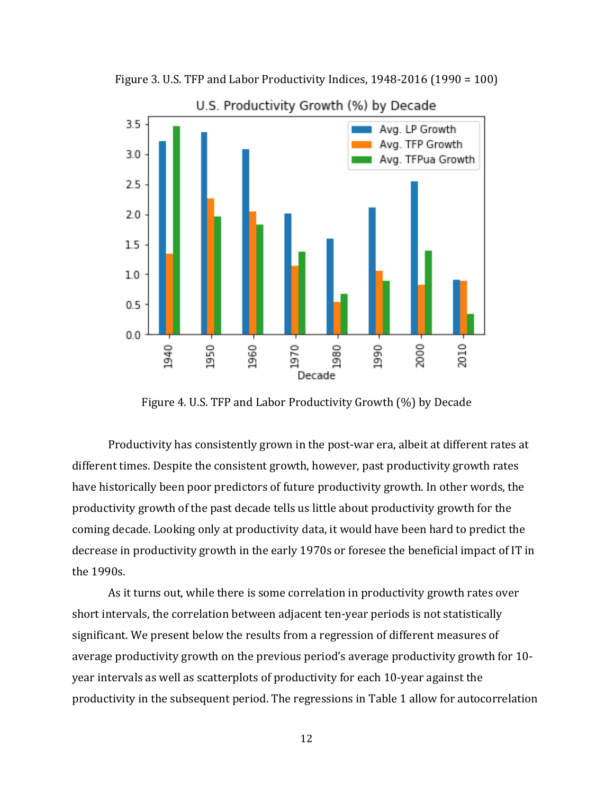

Figure 3. U.S. TFP and Labor Productivity Indices, 1948-2016 (1990 = 100)

U.S. Productivity Growth (%) by Decade

Figure 4. U.S. TFP and Labor Productivity Growth (%) by Decade

Productivity has consistently grown in the post-war era, albeit at different rates at different times. Despite the consistent growth, however, past productivity growth rates have historically been poor predictors of future productivity growth. In other words, the productivity growth of the past decade tells us little about productivity growth for the coming decade. Looking only at productivity data, it would have been hard to predict the decrease in productivity growth in the early 1970s or foresee the beneficial impact of IT in the 1990s.

As it turns out, while there is some correlation in productivity growth rates over short intervals, the correlation between adjacent ten-year periods is not statistically significant. We present below the results from a regression of different measures of average productivity growth on the previous period's average productivity growth for 10 year intervals as well as scatterplots of productivity for each 10-year against the productivity in the subsequent period. The regressions in Table 1 allow for autocorrelation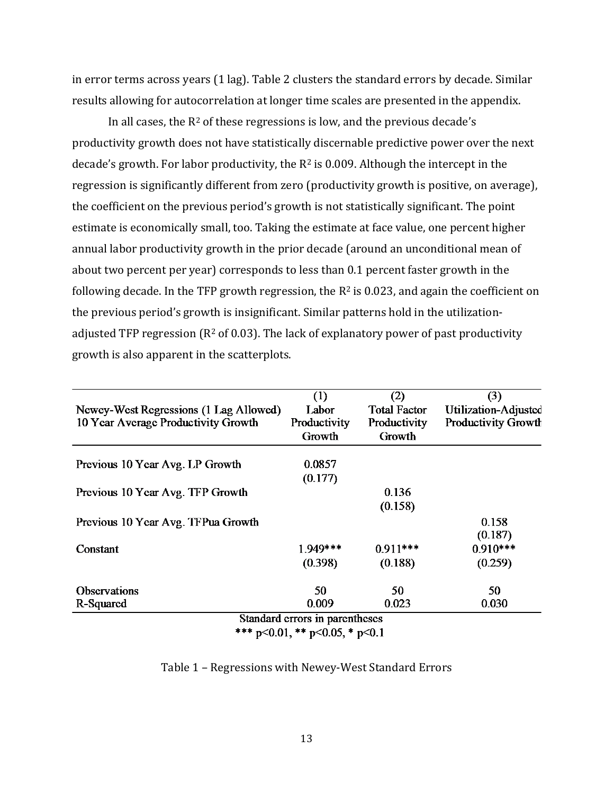in error terms across years (1 lag). Table 2 clusters the standard errors by decade. Similar results allowing for autocorrelation at longer time scales are presented in the appendix.

In all cases, the  $R^2$  of these regressions is low, and the previous decade's productivity growth does not have statistically discernable predictive power over the next decade's growth. For labor productivity, the  $R^2$  is 0.009. Although the intercept in the regression is significantly different from zero (productivity growth is positive, on average), the coefficient on the previous period's growth is not statistically significant. The point estimate is economically small, too. Taking the estimate at face value, one percent higher annual labor productivity growth in the prior decade (around an unconditional mean of about two percent per year) corresponds to less than 0.1 percent faster growth in the following decade. In the TFP growth regression, the  $R^2$  is 0.023, and again the coefficient on the previous period's growth is insignificant. Similar patterns hold in the utilizationadjusted TFP regression ( $R^2$  of 0.03). The lack of explanatory power of past productivity growth is also apparent in the scatterplots.

|                                           | (1)          | (2)                 | (3)                         |  |  |  |  |
|-------------------------------------------|--------------|---------------------|-----------------------------|--|--|--|--|
| Newey-West Regressions (1 Lag Allowed)    | Labor        | <b>Total Factor</b> | <b>Utilization-Adjusted</b> |  |  |  |  |
| 10 Year Average Productivity Growth       | Productivity | Productivity        | <b>Productivity Growth</b>  |  |  |  |  |
|                                           | Growth       | Growth              |                             |  |  |  |  |
| Previous 10 Year Avg. LP Growth           | 0.0857       |                     |                             |  |  |  |  |
|                                           | (0.177)      |                     |                             |  |  |  |  |
| Previous 10 Year Avg. TFP Growth          |              | 0.136               |                             |  |  |  |  |
|                                           |              | (0.158)             |                             |  |  |  |  |
| Previous 10 Year Avg. TFPua Growth        |              |                     | 0.158                       |  |  |  |  |
|                                           |              |                     | (0.187)                     |  |  |  |  |
| Constant                                  | 1.949***     | $0.911***$          | $0.910***$                  |  |  |  |  |
|                                           | (0.398)      | (0.188)             | (0.259)                     |  |  |  |  |
| <b>Observations</b>                       | 50           | 50                  | 50                          |  |  |  |  |
| R-Squared                                 | 0.009        | 0.023               | 0.030                       |  |  |  |  |
| $C_{\text{max}}$ $1 - 1$<br>د د د د دانه. |              |                     |                             |  |  |  |  |

Standard errors in parentheses \*\*\* p<0.01, \*\* p<0.05, \* p<0.1

# Table 1 – Regressions with Newey-West Standard Errors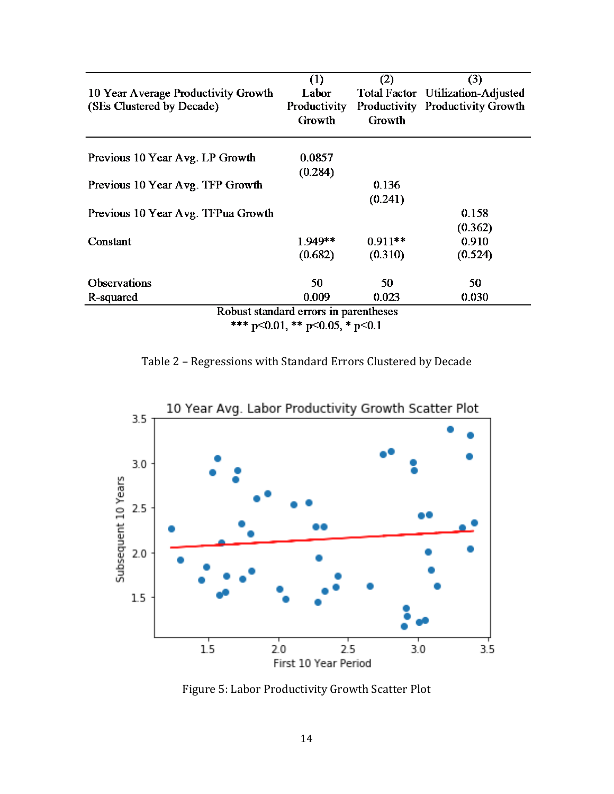|                                       | (1)          | (2)       | (3)                               |  |  |  |
|---------------------------------------|--------------|-----------|-----------------------------------|--|--|--|
| 10 Year Average Productivity Growth   | Labor        |           | Total Factor Utilization-Adjusted |  |  |  |
| (SEs Clustered by Decade)             | Productivity |           | Productivity Productivity Growth  |  |  |  |
|                                       | Growth       | Growth    |                                   |  |  |  |
| Previous 10 Year Avg. LP Growth       | 0.0857       |           |                                   |  |  |  |
|                                       | (0.284)      |           |                                   |  |  |  |
| Previous 10 Year Avg. TFP Growth      |              | 0.136     |                                   |  |  |  |
|                                       |              | (0.241)   |                                   |  |  |  |
| Previous 10 Year Avg. TFPua Growth    |              |           | 0.158                             |  |  |  |
|                                       |              |           | (0.362)                           |  |  |  |
| Constant                              | 1.949**      | $0.911**$ | 0.910                             |  |  |  |
|                                       | (0.682)      | (0.310)   | (0.524)                           |  |  |  |
| <b>Observations</b>                   | 50           | 50        | 50                                |  |  |  |
| R-squared                             | 0.009        | 0.023     | 0.030                             |  |  |  |
| Robust standard errors in parentheses |              |           |                                   |  |  |  |

\*\*\* p<0.01, \*\* p<0.05, \* p<0.1

Table 2 – Regressions with Standard Errors Clustered by Decade



Figure 5: Labor Productivity Growth Scatter Plot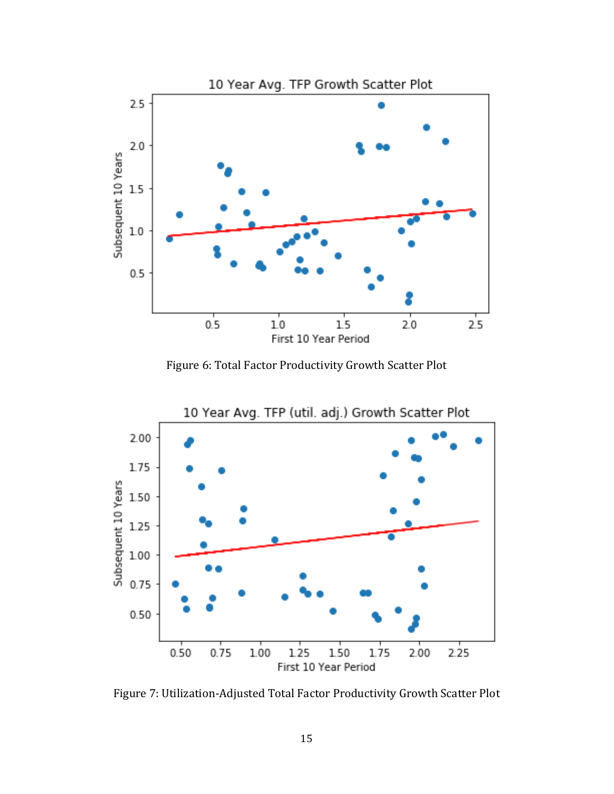

Figure 6: Total Factor Productivity Growth Scatter Plot



Figure 7: Utilization-Adjusted Total Factor Productivity Growth Scatter Plot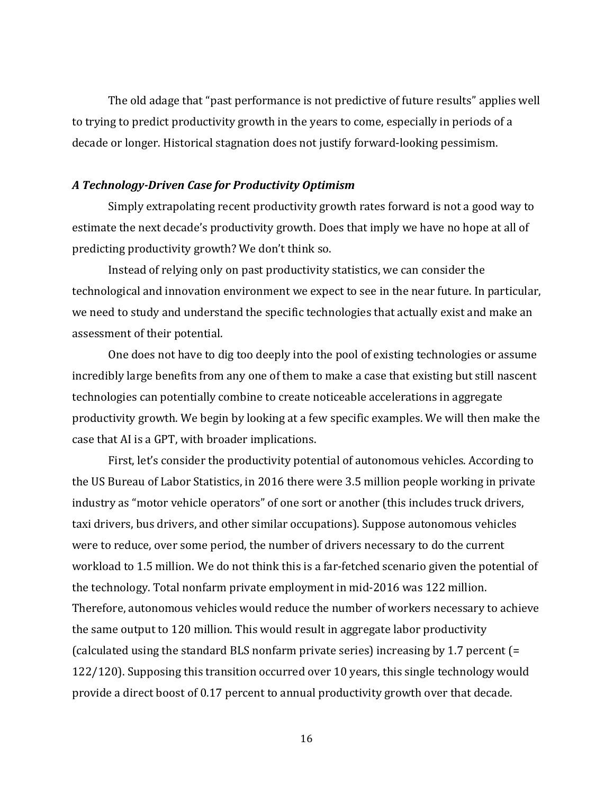The old adage that "past performance is not predictive of future results" applies well to trying to predict productivity growth in the years to come, especially in periods of a decade or longer. Historical stagnation does not justify forward-looking pessimism.

# *A Technology-Driven Case for Productivity Optimism*

Simply extrapolating recent productivity growth rates forward is not a good way to estimate the next decade's productivity growth. Does that imply we have no hope at all of predicting productivity growth? We don't think so.

Instead of relying only on past productivity statistics, we can consider the technological and innovation environment we expect to see in the near future. In particular, we need to study and understand the specific technologies that actually exist and make an assessment of their potential.

One does not have to dig too deeply into the pool of existing technologies or assume incredibly large benefits from any one of them to make a case that existing but still nascent technologies can potentially combine to create noticeable accelerations in aggregate productivity growth. We begin by looking at a few specific examples. We will then make the case that AI is a GPT, with broader implications.

First, let's consider the productivity potential of autonomous vehicles. According to the US Bureau of Labor Statistics, in 2016 there were 3.5 million people working in private industry as "motor vehicle operators" of one sort or another (this includes truck drivers, taxi drivers, bus drivers, and other similar occupations). Suppose autonomous vehicles were to reduce, over some period, the number of drivers necessary to do the current workload to 1.5 million. We do not think this is a far-fetched scenario given the potential of the technology. Total nonfarm private employment in mid-2016 was 122 million. Therefore, autonomous vehicles would reduce the number of workers necessary to achieve the same output to 120 million. This would result in aggregate labor productivity (calculated using the standard BLS nonfarm private series) increasing by 1.7 percent (= 122/120). Supposing this transition occurred over 10 years, this single technology would provide a direct boost of 0.17 percent to annual productivity growth over that decade.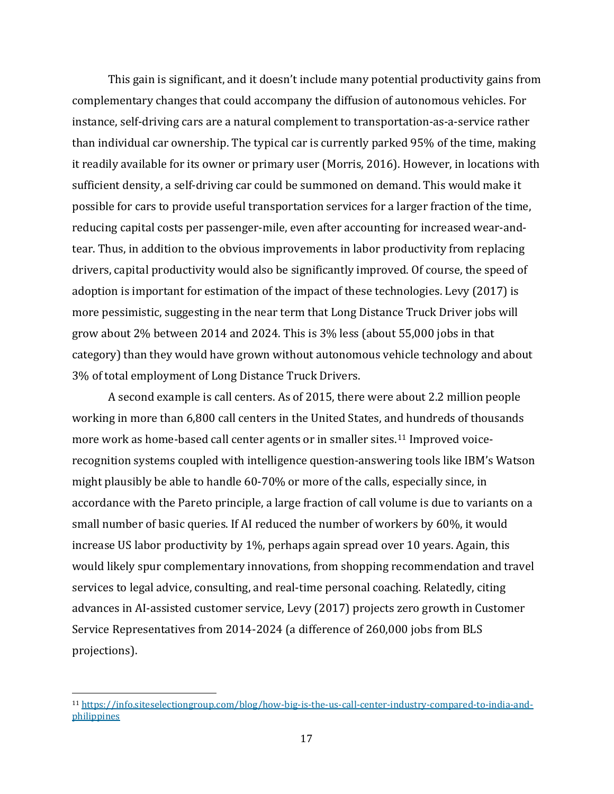This gain is significant, and it doesn't include many potential productivity gains from complementary changes that could accompany the diffusion of autonomous vehicles. For instance, self-driving cars are a natural complement to transportation-as-a-service rather than individual car ownership. The typical car is currently parked 95% of the time, making it readily available for its owner or primary user (Morris, 2016). However, in locations with sufficient density, a self-driving car could be summoned on demand. This would make it possible for cars to provide useful transportation services for a larger fraction of the time, reducing capital costs per passenger-mile, even after accounting for increased wear-andtear. Thus, in addition to the obvious improvements in labor productivity from replacing drivers, capital productivity would also be significantly improved. Of course, the speed of adoption is important for estimation of the impact of these technologies. Levy (2017) is more pessimistic, suggesting in the near term that Long Distance Truck Driver jobs will grow about 2% between 2014 and 2024. This is 3% less (about 55,000 jobs in that category) than they would have grown without autonomous vehicle technology and about 3% of total employment of Long Distance Truck Drivers.

A second example is call centers. As of 2015, there were about 2.2 million people working in more than 6,800 call centers in the United States, and hundreds of thousands more work as home-based call center agents or in smaller sites.[11](#page-18-0) Improved voicerecognition systems coupled with intelligence question-answering tools like IBM's Watson might plausibly be able to handle 60-70% or more of the calls, especially since, in accordance with the Pareto principle, a large fraction of call volume is due to variants on a small number of basic queries. If AI reduced the number of workers by 60%, it would increase US labor productivity by 1%, perhaps again spread over 10 years. Again, this would likely spur complementary innovations, from shopping recommendation and travel services to legal advice, consulting, and real-time personal coaching. Relatedly, citing advances in AI-assisted customer service, Levy (2017) projects zero growth in Customer Service Representatives from 2014-2024 (a difference of 260,000 jobs from BLS projections).

<span id="page-18-0"></span> <sup>11</sup> [https://info.siteselectiongroup.com/blog/how-big-is-the-us-call-center-industry-compared-to-india-and](https://info.siteselectiongroup.com/blog/how-big-is-the-us-call-center-industry-compared-to-india-and-philippines)[philippines](https://info.siteselectiongroup.com/blog/how-big-is-the-us-call-center-industry-compared-to-india-and-philippines)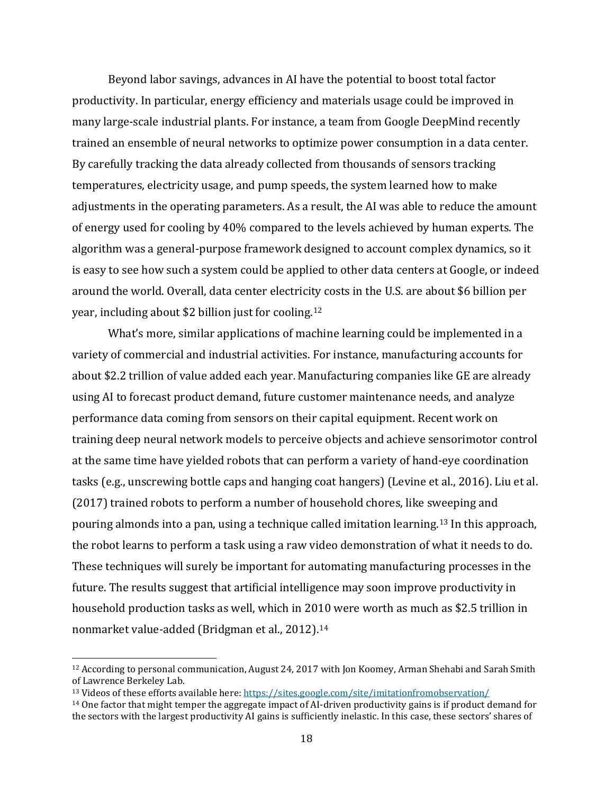Beyond labor savings, advances in AI have the potential to boost total factor productivity. In particular, energy efficiency and materials usage could be improved in many large-scale industrial plants. For instance, a team from Google DeepMind recently trained an ensemble of neural networks to optimize power consumption in a data center. By carefully tracking the data already collected from thousands of sensors tracking temperatures, electricity usage, and pump speeds, the system learned how to make adjustments in the operating parameters. As a result, the AI was able to reduce the amount of energy used for cooling by 40% compared to the levels achieved by human experts. The algorithm was a general-purpose framework designed to account complex dynamics, so it is easy to see how such a system could be applied to other data centers at Google, or indeed around the world. Overall, data center electricity costs in the U.S. are about \$6 billion per year, including about \$2 billion just for cooling.[12](#page-19-0)

What's more, similar applications of machine learning could be implemented in a variety of commercial and industrial activities. For instance, manufacturing accounts for about \$2.2 trillion of value added each year. Manufacturing companies like GE are already using AI to forecast product demand, future customer maintenance needs, and analyze performance data coming from sensors on their capital equipment. Recent work on training deep neural network models to perceive objects and achieve sensorimotor control at the same time have yielded robots that can perform a variety of hand-eye coordination tasks (e.g., unscrewing bottle caps and hanging coat hangers) (Levine et al., 2016). Liu et al. (2017) trained robots to perform a number of household chores, like sweeping and pouring almonds into a pan, using a technique called imitation learning.[13](#page-19-1) In this approach, the robot learns to perform a task using a raw video demonstration of what it needs to do. These techniques will surely be important for automating manufacturing processes in the future. The results suggest that artificial intelligence may soon improve productivity in household production tasks as well, which in 2010 were worth as much as \$2.5 trillion in nonmarket value-added (Bridgman et al., 2012).[14](#page-19-2)

<span id="page-19-0"></span> <sup>12</sup> According to personal communication, August 24, 2017 with Jon Koomey, Arman Shehabi and Sarah Smith of Lawrence Berkeley Lab.

<span id="page-19-1"></span><sup>&</sup>lt;sup>13</sup> Videos of these efforts available here:<https://sites.google.com/site/imitationfromobservation/>

<span id="page-19-2"></span> $14$  One factor that might temper the aggregate impact of AI-driven productivity gains is if product demand for the sectors with the largest productivity AI gains is sufficiently inelastic. In this case, these sectors' shares of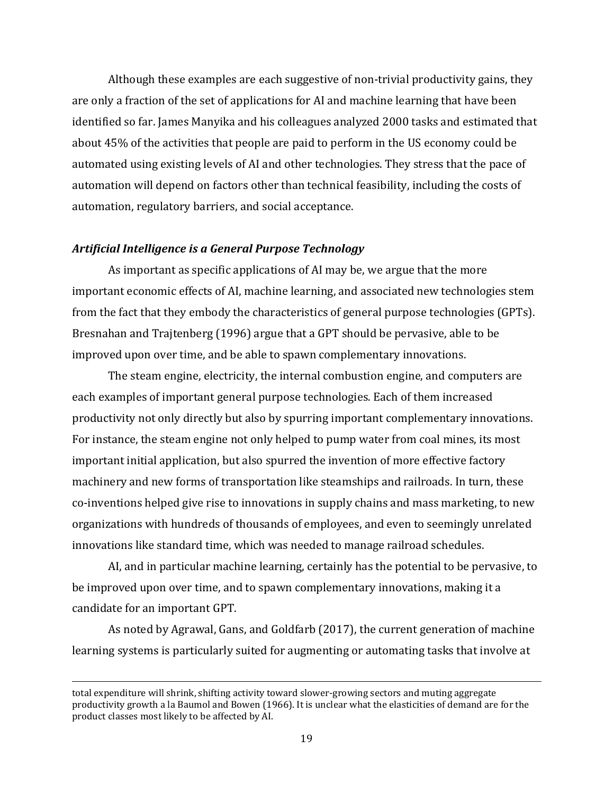Although these examples are each suggestive of non-trivial productivity gains, they are only a fraction of the set of applications for AI and machine learning that have been identified so far. James Manyika and his colleagues analyzed 2000 tasks and estimated that about 45% of the activities that people are paid to perform in the US economy could be automated using existing levels of AI and other technologies. They stress that the pace of automation will depend on factors other than technical feasibility, including the costs of automation, regulatory barriers, and social acceptance.

#### *Artificial Intelligence is a General Purpose Technology*

As important as specific applications of AI may be, we argue that the more important economic effects of AI, machine learning, and associated new technologies stem from the fact that they embody the characteristics of general purpose technologies (GPTs). Bresnahan and Trajtenberg (1996) argue that a GPT should be pervasive, able to be improved upon over time, and be able to spawn complementary innovations.

The steam engine, electricity, the internal combustion engine, and computers are each examples of important general purpose technologies. Each of them increased productivity not only directly but also by spurring important complementary innovations. For instance, the steam engine not only helped to pump water from coal mines, its most important initial application, but also spurred the invention of more effective factory machinery and new forms of transportation like steamships and railroads. In turn, these co-inventions helped give rise to innovations in supply chains and mass marketing, to new organizations with hundreds of thousands of employees, and even to seemingly unrelated innovations like standard time, which was needed to manage railroad schedules.

AI, and in particular machine learning, certainly has the potential to be pervasive, to be improved upon over time, and to spawn complementary innovations, making it a candidate for an important GPT.

As noted by Agrawal, Gans, and Goldfarb (2017), the current generation of machine learning systems is particularly suited for augmenting or automating tasks that involve at

j total expenditure will shrink, shifting activity toward slower-growing sectors and muting aggregate productivity growth a la Baumol and Bowen (1966). It is unclear what the elasticities of demand are for the product classes most likely to be affected by AI.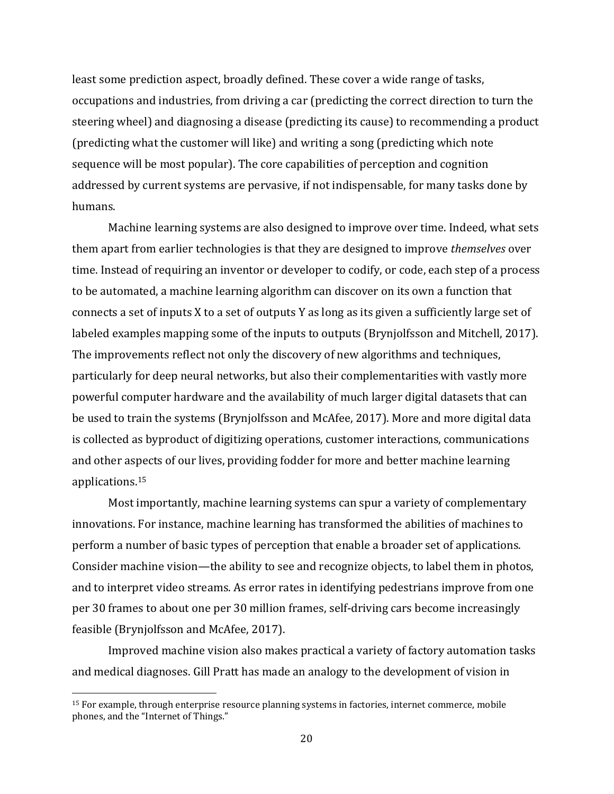least some prediction aspect, broadly defined. These cover a wide range of tasks, occupations and industries, from driving a car (predicting the correct direction to turn the steering wheel) and diagnosing a disease (predicting its cause) to recommending a product (predicting what the customer will like) and writing a song (predicting which note sequence will be most popular). The core capabilities of perception and cognition addressed by current systems are pervasive, if not indispensable, for many tasks done by humans.

Machine learning systems are also designed to improve over time. Indeed, what sets them apart from earlier technologies is that they are designed to improve *themselves* over time. Instead of requiring an inventor or developer to codify, or code, each step of a process to be automated, a machine learning algorithm can discover on its own a function that connects a set of inputs X to a set of outputs Y as long as its given a sufficiently large set of labeled examples mapping some of the inputs to outputs (Brynjolfsson and Mitchell, 2017). The improvements reflect not only the discovery of new algorithms and techniques, particularly for deep neural networks, but also their complementarities with vastly more powerful computer hardware and the availability of much larger digital datasets that can be used to train the systems (Brynjolfsson and McAfee, 2017). More and more digital data is collected as byproduct of digitizing operations, customer interactions, communications and other as[pe](#page-21-0)cts of our lives, providing fodder for more and better machine learning applications. 15

Most importantly, machine learning systems can spur a variety of complementary innovations. For instance, machine learning has transformed the abilities of machines to perform a number of basic types of perception that enable a broader set of applications. Consider machine vision—the ability to see and recognize objects, to label them in photos, and to interpret video streams. As error rates in identifying pedestrians improve from one per 30 frames to about one per 30 million frames, self-driving cars become increasingly feasible (Brynjolfsson and McAfee, 2017).

Improved machine vision also makes practical a variety of factory automation tasks and medical diagnoses. Gill Pratt has made an analogy to the development of vision in

<span id="page-21-0"></span> <sup>15</sup> For example, through enterprise resource planning systems in factories, internet commerce, mobile phones, and the "Internet of Things."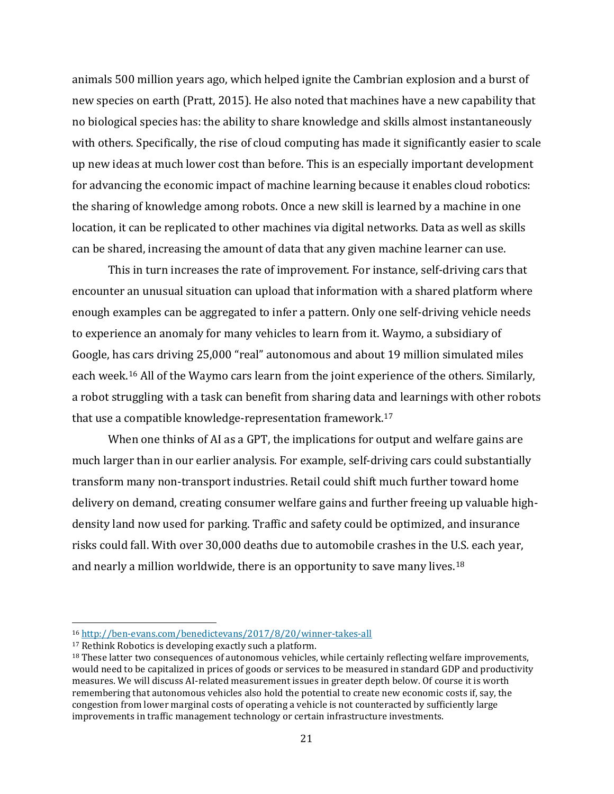animals 500 million years ago, which helped ignite the Cambrian explosion and a burst of new species on earth (Pratt, 2015). He also noted that machines have a new capability that no biological species has: the ability to share knowledge and skills almost instantaneously with others. Specifically, the rise of cloud computing has made it significantly easier to scale up new ideas at much lower cost than before. This is an especially important development for advancing the economic impact of machine learning because it enables cloud robotics: the sharing of knowledge among robots. Once a new skill is learned by a machine in one location, it can be replicated to other machines via digital networks. Data as well as skills can be shared, increasing the amount of data that any given machine learner can use.

This in turn increases the rate of improvement. For instance, self-driving cars that encounter an unusual situation can upload that information with a shared platform where enough examples can be aggregated to infer a pattern. Only one self-driving vehicle needs to experience an anomaly for many vehicles to learn from it. Waymo, a subsidiary of Google, has cars driving 25,000 "real" autonomous and about 19 million simulated miles each week.[16](#page-22-0) All of the Waymo cars learn from the joint experience of the others. Similarly, a robot struggling with a task can benefit from sharing data and learnings with other robots that use a compatible knowledge-representation framework.[17](#page-22-1)

When one thinks of AI as a GPT, the implications for output and welfare gains are much larger than in our earlier analysis. For example, self-driving cars could substantially transform many non-transport industries. Retail could shift much further toward home delivery on demand, creating consumer welfare gains and further freeing up valuable highdensity land now used for parking. Traffic and safety could be optimized, and insurance risks could fall. With over 30,000 deaths due to automobile crashes in the U.S. each year, and nearly a million worldwide, there is an opportunity to save many lives.<sup>[18](#page-22-2)</sup>

<span id="page-22-0"></span> <sup>16</sup> <http://ben-evans.com/benedictevans/2017/8/20/winner-takes-all>

<span id="page-22-1"></span><sup>17</sup> Rethink Robotics is developing exactly such a platform.

<span id="page-22-2"></span><sup>&</sup>lt;sup>18</sup> These latter two consequences of autonomous vehicles, while certainly reflecting welfare improvements, would need to be capitalized in prices of goods or services to be measured in standard GDP and productivity measures. We will discuss AI-related measurement issues in greater depth below. Of course it is worth remembering that autonomous vehicles also hold the potential to create new economic costs if, say, the congestion from lower marginal costs of operating a vehicle is not counteracted by sufficiently large improvements in traffic management technology or certain infrastructure investments.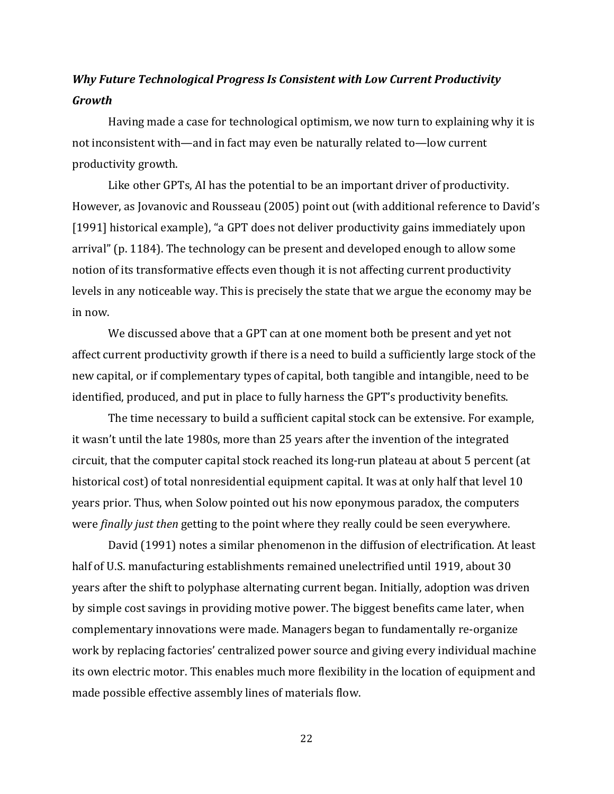# *Why Future Technological Progress Is Consistent with Low Current Productivity Growth*

Having made a case for technological optimism, we now turn to explaining why it is not inconsistent with—and in fact may even be naturally related to—low current productivity growth.

Like other GPTs, AI has the potential to be an important driver of productivity. However, as Jovanovic and Rousseau (2005) point out (with additional reference to David's [1991] historical example), "a GPT does not deliver productivity gains immediately upon arrival" (p. 1184). The technology can be present and developed enough to allow some notion of its transformative effects even though it is not affecting current productivity levels in any noticeable way. This is precisely the state that we argue the economy may be in now.

We discussed above that a GPT can at one moment both be present and yet not affect current productivity growth if there is a need to build a sufficiently large stock of the new capital, or if complementary types of capital, both tangible and intangible, need to be identified, produced, and put in place to fully harness the GPT's productivity benefits.

The time necessary to build a sufficient capital stock can be extensive. For example, it wasn't until the late 1980s, more than 25 years after the invention of the integrated circuit, that the computer capital stock reached its long-run plateau at about 5 percent (at historical cost) of total nonresidential equipment capital. It was at only half that level 10 years prior. Thus, when Solow pointed out his now eponymous paradox, the computers were *finally just then* getting to the point where they really could be seen everywhere.

David (1991) notes a similar phenomenon in the diffusion of electrification. At least half of U.S. manufacturing establishments remained unelectrified until 1919, about 30 years after the shift to polyphase alternating current began. Initially, adoption was driven by simple cost savings in providing motive power. The biggest benefits came later, when complementary innovations were made. Managers began to fundamentally re-organize work by replacing factories' centralized power source and giving every individual machine its own electric motor. This enables much more flexibility in the location of equipment and made possible effective assembly lines of materials flow.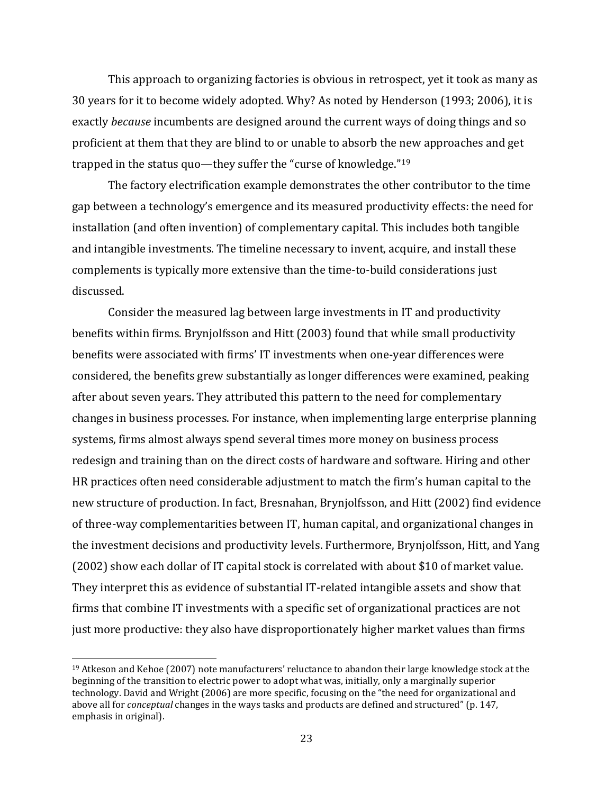This approach to organizing factories is obvious in retrospect, yet it took as many as 30 years for it to become widely adopted. Why? As noted by Henderson (1993; 2006), it is exactly *because* incumbents are designed around the current ways of doing things and so proficient at them that they are blind to or unable to absorb the new approaches and get trapped in the status quo—they suffer the "curse of knowledge."[19](#page-24-0)

The factory electrification example demonstrates the other contributor to the time gap between a technology's emergence and its measured productivity effects: the need for installation (and often invention) of complementary capital. This includes both tangible and intangible investments. The timeline necessary to invent, acquire, and install these complements is typically more extensive than the time-to-build considerations just discussed.

Consider the measured lag between large investments in IT and productivity benefits within firms. Brynjolfsson and Hitt (2003) found that while small productivity benefits were associated with firms' IT investments when one-year differences were considered, the benefits grew substantially as longer differences were examined, peaking after about seven years. They attributed this pattern to the need for complementary changes in business processes. For instance, when implementing large enterprise planning systems, firms almost always spend several times more money on business process redesign and training than on the direct costs of hardware and software. Hiring and other HR practices often need considerable adjustment to match the firm's human capital to the new structure of production. In fact, Bresnahan, Brynjolfsson, and Hitt (2002) find evidence of three-way complementarities between IT, human capital, and organizational changes in the investment decisions and productivity levels. Furthermore, Brynjolfsson, Hitt, and Yang (2002) show each dollar of IT capital stock is correlated with about \$10 of market value. They interpret this as evidence of substantial IT-related intangible assets and show that firms that combine IT investments with a specific set of organizational practices are not just more productive: they also have disproportionately higher market values than firms

<span id="page-24-0"></span> <sup>19</sup> Atkeson and Kehoe (2007) note manufacturers' reluctance to abandon their large knowledge stock at the beginning of the transition to electric power to adopt what was, initially, only a marginally superior technology. David and Wright (2006) are more specific, focusing on the "the need for organizational and above all for *conceptual* changes in the ways tasks and products are defined and structured" (p. 147, emphasis in original).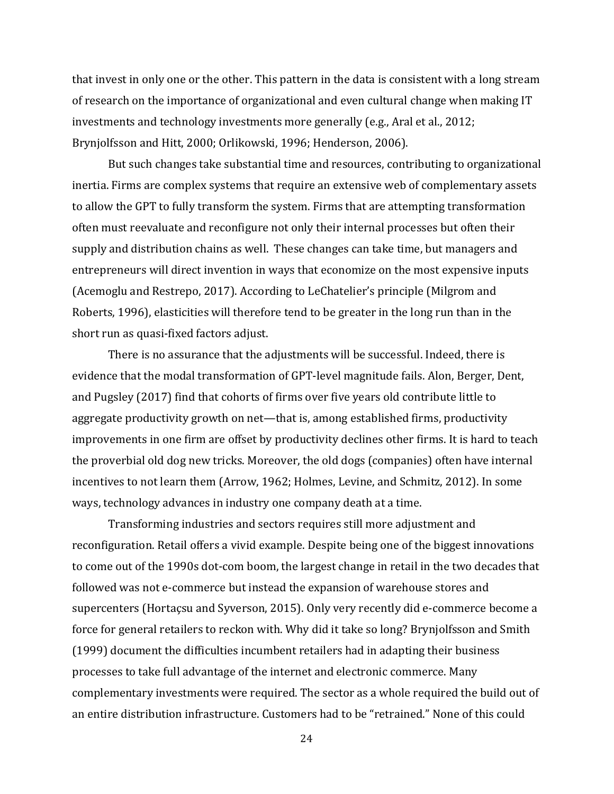that invest in only one or the other. This pattern in the data is consistent with a long stream of research on the importance of organizational and even cultural change when making IT investments and technology investments more generally (e.g., Aral et al., 2012; Brynjolfsson and Hitt, 2000; Orlikowski, 1996; Henderson, 2006).

But such changes take substantial time and resources, contributing to organizational inertia. Firms are complex systems that require an extensive web of complementary assets to allow the GPT to fully transform the system. Firms that are attempting transformation often must reevaluate and reconfigure not only their internal processes but often their supply and distribution chains as well. These changes can take time, but managers and entrepreneurs will direct invention in ways that economize on the most expensive inputs (Acemoglu and Restrepo, 2017). According to LeChatelier's principle (Milgrom and Roberts, 1996), elasticities will therefore tend to be greater in the long run than in the short run as quasi-fixed factors adjust.

There is no assurance that the adjustments will be successful. Indeed, there is evidence that the modal transformation of GPT-level magnitude fails. Alon, Berger, Dent, and Pugsley (2017) find that cohorts of firms over five years old contribute little to aggregate productivity growth on net—that is, among established firms, productivity improvements in one firm are offset by productivity declines other firms. It is hard to teach the proverbial old dog new tricks. Moreover, the old dogs (companies) often have internal incentives to not learn them (Arrow, 1962; Holmes, Levine, and Schmitz, 2012). In some ways, technology advances in industry one company death at a time.

Transforming industries and sectors requires still more adjustment and reconfiguration. Retail offers a vivid example. Despite being one of the biggest innovations to come out of the 1990s dot-com boom, the largest change in retail in the two decades that followed was not e-commerce but instead the expansion of warehouse stores and supercenters (Hortaçsu and Syverson, 2015). Only very recently did e-commerce become a force for general retailers to reckon with. Why did it take so long? Brynjolfsson and Smith (1999) document the difficulties incumbent retailers had in adapting their business processes to take full advantage of the internet and electronic commerce. Many complementary investments were required. The sector as a whole required the build out of an entire distribution infrastructure. Customers had to be "retrained." None of this could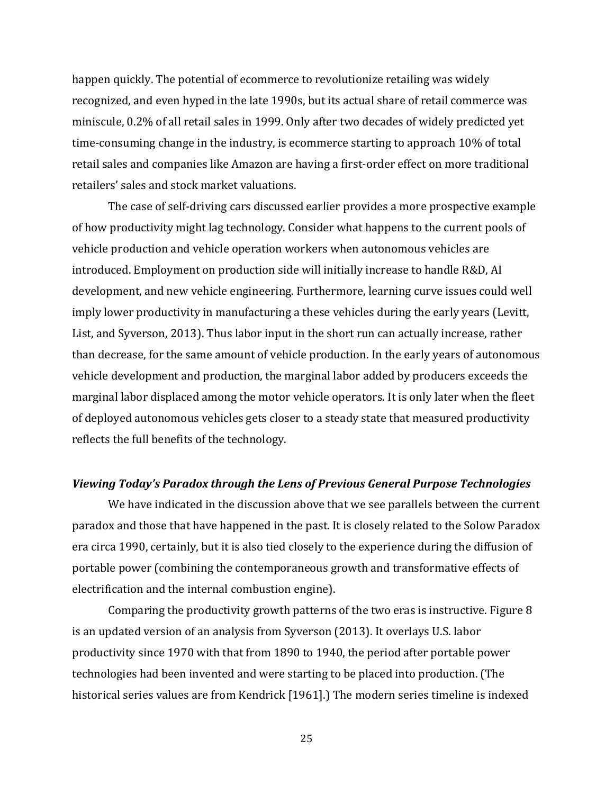happen quickly. The potential of ecommerce to revolutionize retailing was widely recognized, and even hyped in the late 1990s, but its actual share of retail commerce was miniscule, 0.2% of all retail sales in 1999. Only after two decades of widely predicted yet time-consuming change in the industry, is ecommerce starting to approach 10% of total retail sales and companies like Amazon are having a first-order effect on more traditional retailers' sales and stock market valuations.

The case of self-driving cars discussed earlier provides a more prospective example of how productivity might lag technology. Consider what happens to the current pools of vehicle production and vehicle operation workers when autonomous vehicles are introduced. Employment on production side will initially increase to handle R&D, AI development, and new vehicle engineering. Furthermore, learning curve issues could well imply lower productivity in manufacturing a these vehicles during the early years (Levitt, List, and Syverson, 2013). Thus labor input in the short run can actually increase, rather than decrease, for the same amount of vehicle production. In the early years of autonomous vehicle development and production, the marginal labor added by producers exceeds the marginal labor displaced among the motor vehicle operators. It is only later when the fleet of deployed autonomous vehicles gets closer to a steady state that measured productivity reflects the full benefits of the technology.

#### *Viewing Today's Paradox through the Lens of Previous General Purpose Technologies*

We have indicated in the discussion above that we see parallels between the current paradox and those that have happened in the past. It is closely related to the Solow Paradox era circa 1990, certainly, but it is also tied closely to the experience during the diffusion of portable power (combining the contemporaneous growth and transformative effects of electrification and the internal combustion engine).

Comparing the productivity growth patterns of the two eras is instructive. Figure 8 is an updated version of an analysis from Syverson (2013). It overlays U.S. labor productivity since 1970 with that from 1890 to 1940, the period after portable power technologies had been invented and were starting to be placed into production. (The historical series values are from Kendrick [1961].) The modern series timeline is indexed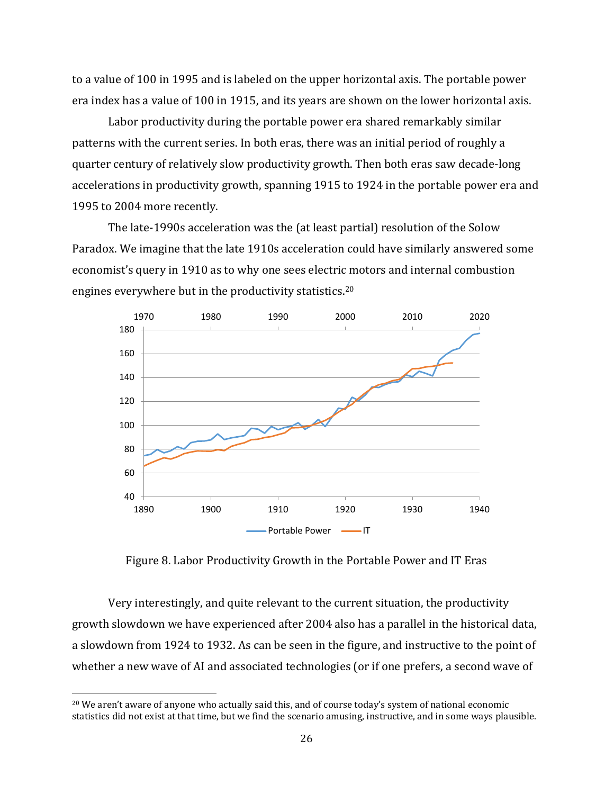to a value of 100 in 1995 and is labeled on the upper horizontal axis. The portable power era index has a value of 100 in 1915, and its years are shown on the lower horizontal axis.

Labor productivity during the portable power era shared remarkably similar patterns with the current series. In both eras, there was an initial period of roughly a quarter century of relatively slow productivity growth. Then both eras saw decade-long accelerations in productivity growth, spanning 1915 to 1924 in the portable power era and 1995 to 2004 more recently.

The late-1990s acceleration was the (at least partial) resolution of the Solow Paradox. We imagine that the late 1910s acceleration could have similarly answered some economist's query in 1910 as to why one sees electric motors and internal combustion engines everywhere but in the productivity statistics.<sup>[20](#page-27-0)</sup>



Figure 8. Labor Productivity Growth in the Portable Power and IT Eras

Very interestingly, and quite relevant to the current situation, the productivity growth slowdown we have experienced after 2004 also has a parallel in the historical data, a slowdown from 1924 to 1932. As can be seen in the figure, and instructive to the point of whether a new wave of AI and associated technologies (or if one prefers, a second wave of

<span id="page-27-0"></span><sup>&</sup>lt;sup>20</sup> We aren't aware of anyone who actually said this, and of course today's system of national economic statistics did not exist at that time, but we find the scenario amusing, instructive, and in some ways plausible.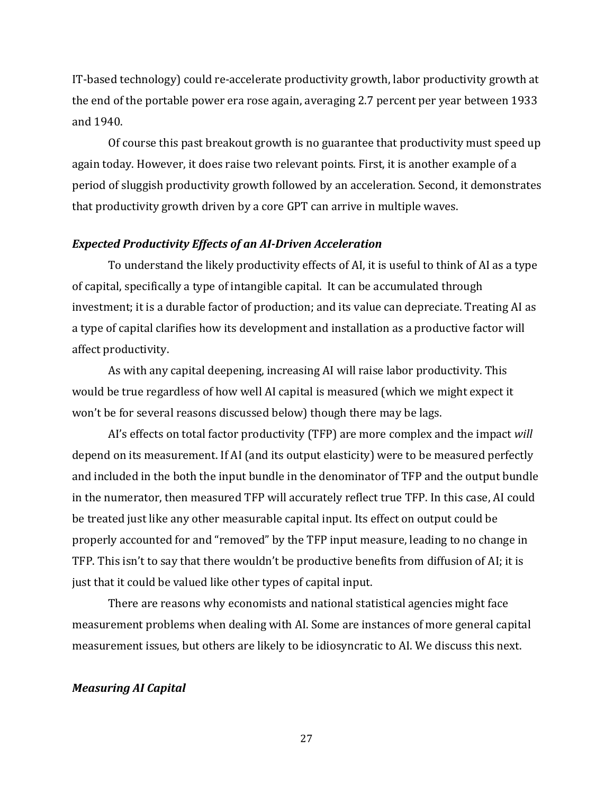IT-based technology) could re-accelerate productivity growth, labor productivity growth at the end of the portable power era rose again, averaging 2.7 percent per year between 1933 and 1940.

Of course this past breakout growth is no guarantee that productivity must speed up again today. However, it does raise two relevant points. First, it is another example of a period of sluggish productivity growth followed by an acceleration. Second, it demonstrates that productivity growth driven by a core GPT can arrive in multiple waves.

# *Expected Productivity Effects of an AI-Driven Acceleration*

To understand the likely productivity effects of AI, it is useful to think of AI as a type of capital, specifically a type of intangible capital. It can be accumulated through investment; it is a durable factor of production; and its value can depreciate. Treating AI as a type of capital clarifies how its development and installation as a productive factor will affect productivity.

As with any capital deepening, increasing AI will raise labor productivity. This would be true regardless of how well AI capital is measured (which we might expect it won't be for several reasons discussed below) though there may be lags.

AI's effects on total factor productivity (TFP) are more complex and the impact *will* depend on its measurement. If AI (and its output elasticity) were to be measured perfectly and included in the both the input bundle in the denominator of TFP and the output bundle in the numerator, then measured TFP will accurately reflect true TFP. In this case, AI could be treated just like any other measurable capital input. Its effect on output could be properly accounted for and "removed" by the TFP input measure, leading to no change in TFP. This isn't to say that there wouldn't be productive benefits from diffusion of AI; it is just that it could be valued like other types of capital input.

There are reasons why economists and national statistical agencies might face measurement problems when dealing with AI. Some are instances of more general capital measurement issues, but others are likely to be idiosyncratic to AI. We discuss this next.

#### *Measuring AI Capital*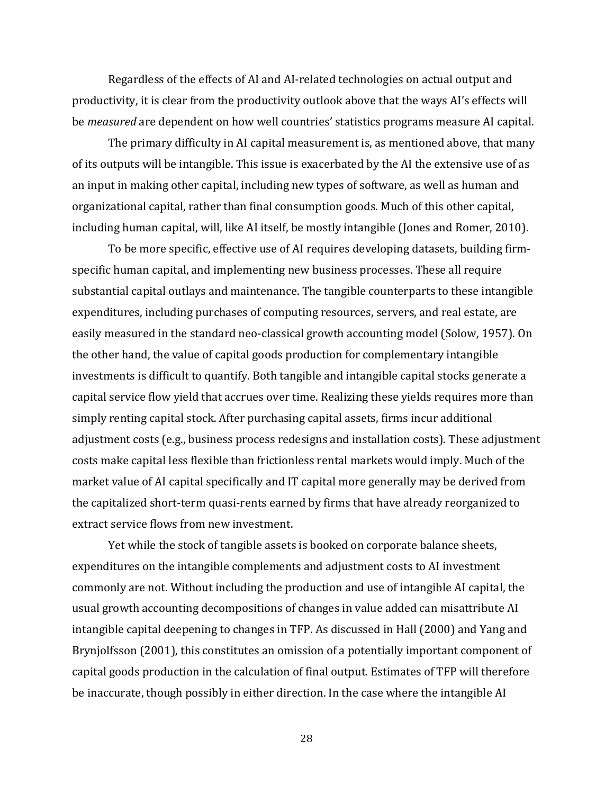Regardless of the effects of AI and AI-related technologies on actual output and productivity, it is clear from the productivity outlook above that the ways AI's effects will be *measured* are dependent on how well countries' statistics programs measure AI capital.

The primary difficulty in AI capital measurement is, as mentioned above, that many of its outputs will be intangible. This issue is exacerbated by the AI the extensive use of as an input in making other capital, including new types of software, as well as human and organizational capital, rather than final consumption goods. Much of this other capital, including human capital, will, like AI itself, be mostly intangible (Jones and Romer, 2010).

To be more specific, effective use of AI requires developing datasets, building firmspecific human capital, and implementing new business processes. These all require substantial capital outlays and maintenance. The tangible counterparts to these intangible expenditures, including purchases of computing resources, servers, and real estate, are easily measured in the standard neo-classical growth accounting model (Solow, 1957). On the other hand, the value of capital goods production for complementary intangible investments is difficult to quantify. Both tangible and intangible capital stocks generate a capital service flow yield that accrues over time. Realizing these yields requires more than simply renting capital stock. After purchasing capital assets, firms incur additional adjustment costs (e.g., business process redesigns and installation costs). These adjustment costs make capital less flexible than frictionless rental markets would imply. Much of the market value of AI capital specifically and IT capital more generally may be derived from the capitalized short-term quasi-rents earned by firms that have already reorganized to extract service flows from new investment.

Yet while the stock of tangible assets is booked on corporate balance sheets, expenditures on the intangible complements and adjustment costs to AI investment commonly are not. Without including the production and use of intangible AI capital, the usual growth accounting decompositions of changes in value added can misattribute AI intangible capital deepening to changes in TFP. As discussed in Hall (2000) and Yang and Brynjolfsson (2001), this constitutes an omission of a potentially important component of capital goods production in the calculation of final output. Estimates of TFP will therefore be inaccurate, though possibly in either direction. In the case where the intangible AI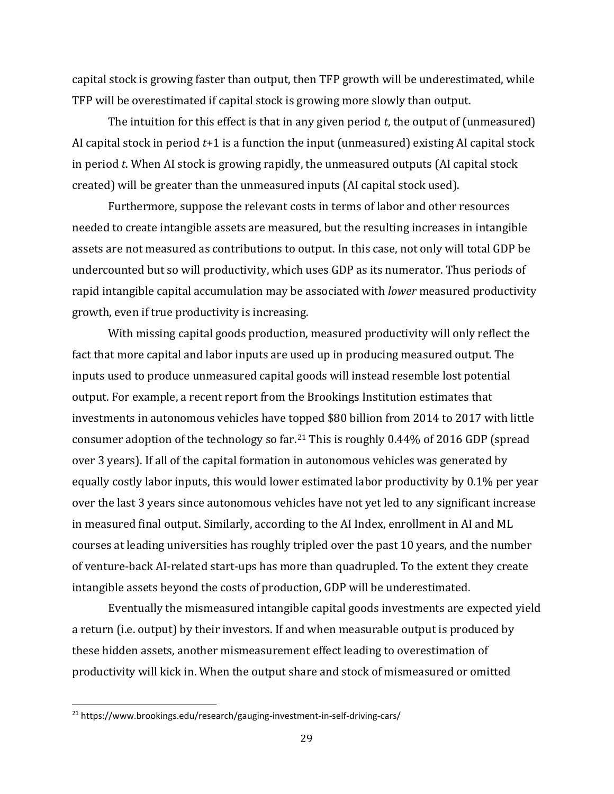capital stock is growing faster than output, then TFP growth will be underestimated, while TFP will be overestimated if capital stock is growing more slowly than output.

The intuition for this effect is that in any given period *t*, the output of (unmeasured) AI capital stock in period *t*+1 is a function the input (unmeasured) existing AI capital stock in period *t*. When AI stock is growing rapidly, the unmeasured outputs (AI capital stock created) will be greater than the unmeasured inputs (AI capital stock used).

Furthermore, suppose the relevant costs in terms of labor and other resources needed to create intangible assets are measured, but the resulting increases in intangible assets are not measured as contributions to output. In this case, not only will total GDP be undercounted but so will productivity, which uses GDP as its numerator. Thus periods of rapid intangible capital accumulation may be associated with *lower* measured productivity growth, even if true productivity is increasing.

With missing capital goods production, measured productivity will only reflect the fact that more capital and labor inputs are used up in producing measured output. The inputs used to produce unmeasured capital goods will instead resemble lost potential output. For example, a recent report from the Brookings Institution estimates that investments in autonomous vehicles have topped \$80 billion from 2014 to 2017 with little consumer adoption of the technology so far.[21](#page-30-0) This is roughly 0.44% of 2016 GDP (spread over 3 years). If all of the capital formation in autonomous vehicles was generated by equally costly labor inputs, this would lower estimated labor productivity by 0.1% per year over the last 3 years since autonomous vehicles have not yet led to any significant increase in measured final output. Similarly, according to the AI Index, enrollment in AI and ML courses at leading universities has roughly tripled over the past 10 years, and the number of venture-back AI-related start-ups has more than quadrupled. To the extent they create intangible assets beyond the costs of production, GDP will be underestimated.

Eventually the mismeasured intangible capital goods investments are expected yield a return (i.e. output) by their investors. If and when measurable output is produced by these hidden assets, another mismeasurement effect leading to overestimation of productivity will kick in. When the output share and stock of mismeasured or omitted

<span id="page-30-0"></span><sup>&</sup>lt;sup>21</sup> https://www.brookings.edu/research/gauging-investment-in-self-driving-cars/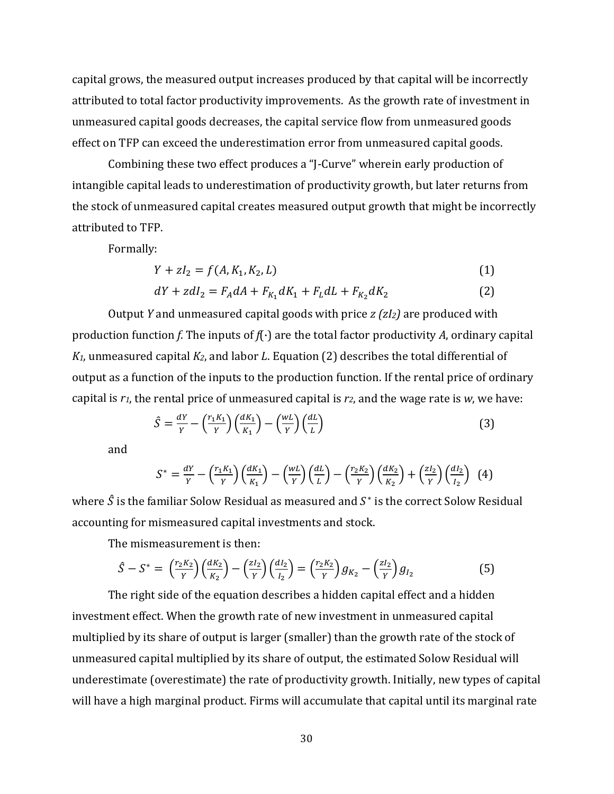capital grows, the measured output increases produced by that capital will be incorrectly attributed to total factor productivity improvements. As the growth rate of investment in unmeasured capital goods decreases, the capital service flow from unmeasured goods effect on TFP can exceed the underestimation error from unmeasured capital goods.

Combining these two effect produces a "J-Curve" wherein early production of intangible capital leads to underestimation of productivity growth, but later returns from the stock of unmeasured capital creates measured output growth that might be incorrectly attributed to TFP.

Formally:

$$
Y + zI_2 = f(A, K_1, K_2, L) \tag{1}
$$

$$
dY + zdl_2 = F_A dA + F_{K_1} dK_1 + F_L dL + F_{K_2} dK_2
$$
\n(2)

Output *Y* and unmeasured capital goods with price *z (zI2)* are produced with production function *f*. The inputs of *f*(·) are the total factor productivity *A*, ordinary capital *K1*, unmeasured capital *K2*, and labor *L*. Equation (2) describes the total differential of output as a function of the inputs to the production function. If the rental price of ordinary capital is *r1*, the rental price of unmeasured capital is *r2*, and the wage rate is *w*, we have:

$$
\hat{S} = \frac{dY}{Y} - \left(\frac{r_1 K_1}{Y}\right) \left(\frac{dK_1}{K_1}\right) - \left(\frac{wL}{Y}\right) \left(\frac{dL}{L}\right)
$$
\n(3)

and

$$
S^* = \frac{dY}{Y} - \left(\frac{r_1K_1}{Y}\right)\left(\frac{dK_1}{K_1}\right) - \left(\frac{wL}{Y}\right)\left(\frac{dL}{L}\right) - \left(\frac{r_2K_2}{Y}\right)\left(\frac{dK_2}{K_2}\right) + \left(\frac{zI_2}{Y}\right)\left(\frac{dI_2}{I_2}\right) \tag{4}
$$

where  $\hat{S}$  is the familiar Solow Residual as measured and  $S^*$  is the correct Solow Residual accounting for mismeasured capital investments and stock.

The mismeasurement is then:

$$
\hat{S} - S^* = \left(\frac{r_2 K_2}{\gamma}\right) \left(\frac{dK_2}{K_2}\right) - \left(\frac{zI_2}{\gamma}\right) \left(\frac{dI_2}{I_2}\right) = \left(\frac{r_2 K_2}{\gamma}\right) g_{K_2} - \left(\frac{zI_2}{\gamma}\right) g_{I_2} \tag{5}
$$

The right side of the equation describes a hidden capital effect and a hidden investment effect. When the growth rate of new investment in unmeasured capital multiplied by its share of output is larger (smaller) than the growth rate of the stock of unmeasured capital multiplied by its share of output, the estimated Solow Residual will underestimate (overestimate) the rate of productivity growth. Initially, new types of capital will have a high marginal product. Firms will accumulate that capital until its marginal rate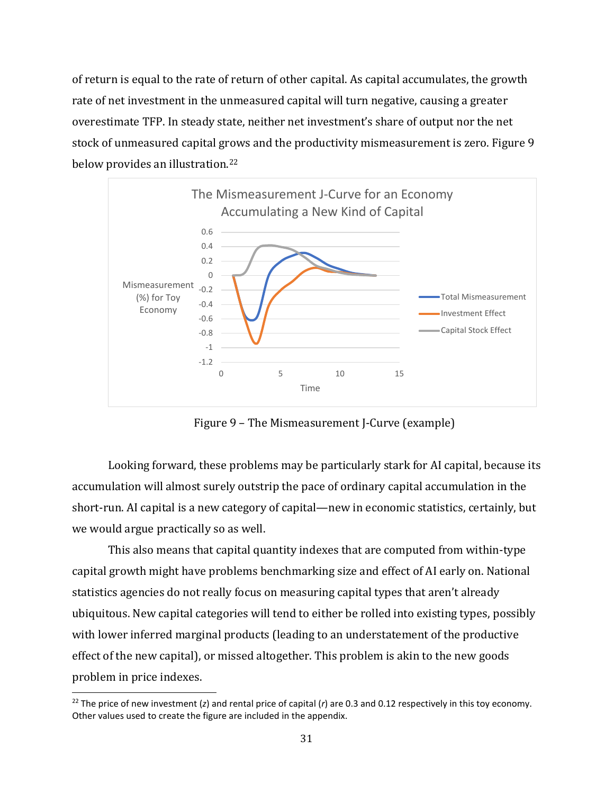of return is equal to the rate of return of other capital. As capital accumulates, the growth rate of net investment in the unmeasured capital will turn negative, causing a greater overestimate TFP. In steady state, neither net investment's share of output nor the net stock of unmeasured capital grows and the productivity mismeasurement is zero. Figure 9 below provides an illustration.[22](#page-32-0)



Figure 9 – The Mismeasurement J-Curve (example)

Looking forward, these problems may be particularly stark for AI capital, because its accumulation will almost surely outstrip the pace of ordinary capital accumulation in the short-run. AI capital is a new category of capital—new in economic statistics, certainly, but we would argue practically so as well.

This also means that capital quantity indexes that are computed from within-type capital growth might have problems benchmarking size and effect of AI early on. National statistics agencies do not really focus on measuring capital types that aren't already ubiquitous. New capital categories will tend to either be rolled into existing types, possibly with lower inferred marginal products (leading to an understatement of the productive effect of the new capital), or missed altogether. This problem is akin to the new goods problem in price indexes.

<span id="page-32-0"></span><sup>22</sup> The price of new investment (*z*) and rental price of capital (*r*) are 0.3 and 0.12 respectively in this toy economy. Other values used to create the figure are included in the appendix.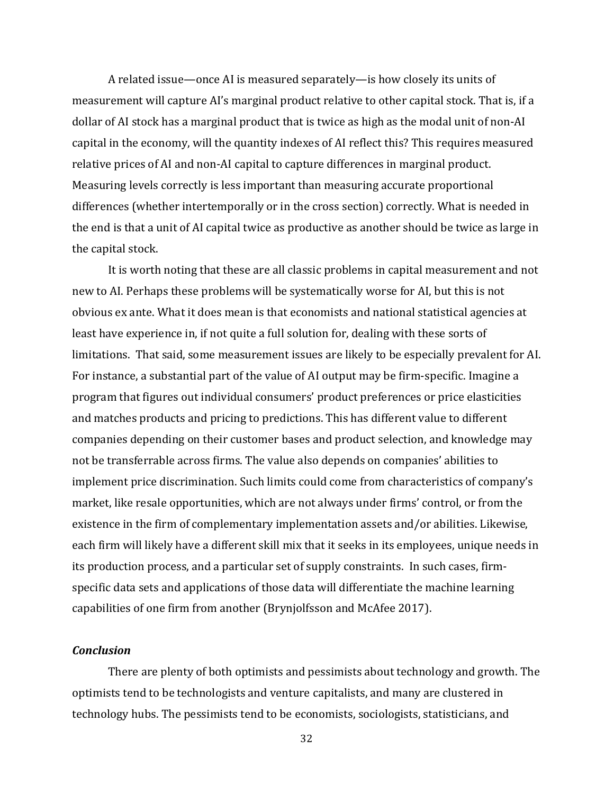A related issue—once AI is measured separately—is how closely its units of measurement will capture AI's marginal product relative to other capital stock. That is, if a dollar of AI stock has a marginal product that is twice as high as the modal unit of non-AI capital in the economy, will the quantity indexes of AI reflect this? This requires measured relative prices of AI and non-AI capital to capture differences in marginal product. Measuring levels correctly is less important than measuring accurate proportional differences (whether intertemporally or in the cross section) correctly. What is needed in the end is that a unit of AI capital twice as productive as another should be twice as large in the capital stock.

It is worth noting that these are all classic problems in capital measurement and not new to AI. Perhaps these problems will be systematically worse for AI, but this is not obvious ex ante. What it does mean is that economists and national statistical agencies at least have experience in, if not quite a full solution for, dealing with these sorts of limitations. That said, some measurement issues are likely to be especially prevalent for AI. For instance, a substantial part of the value of AI output may be firm-specific. Imagine a program that figures out individual consumers' product preferences or price elasticities and matches products and pricing to predictions. This has different value to different companies depending on their customer bases and product selection, and knowledge may not be transferrable across firms. The value also depends on companies' abilities to implement price discrimination. Such limits could come from characteristics of company's market, like resale opportunities, which are not always under firms' control, or from the existence in the firm of complementary implementation assets and/or abilities. Likewise, each firm will likely have a different skill mix that it seeks in its employees, unique needs in its production process, and a particular set of supply constraints. In such cases, firmspecific data sets and applications of those data will differentiate the machine learning capabilities of one firm from another (Brynjolfsson and McAfee 2017).

# *Conclusion*

There are plenty of both optimists and pessimists about technology and growth. The optimists tend to be technologists and venture capitalists, and many are clustered in technology hubs. The pessimists tend to be economists, sociologists, statisticians, and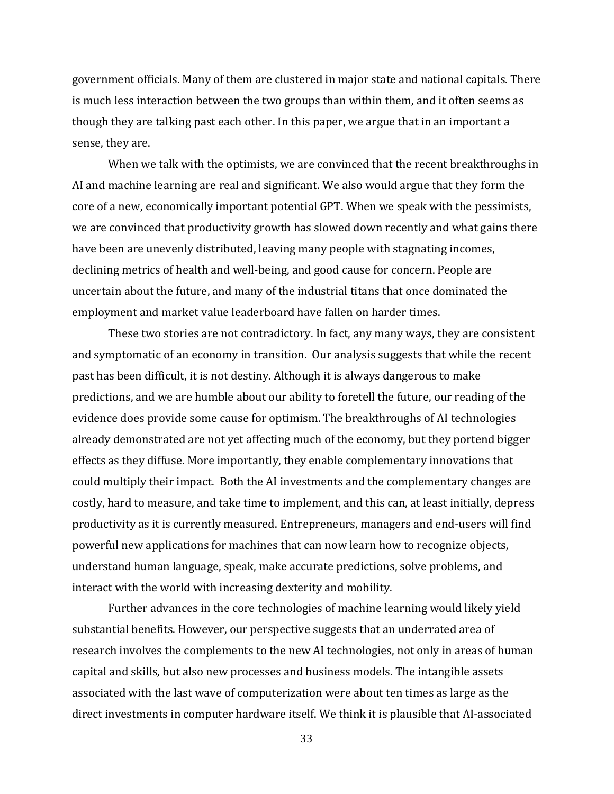government officials. Many of them are clustered in major state and national capitals. There is much less interaction between the two groups than within them, and it often seems as though they are talking past each other. In this paper, we argue that in an important a sense, they are.

When we talk with the optimists, we are convinced that the recent breakthroughs in AI and machine learning are real and significant. We also would argue that they form the core of a new, economically important potential GPT. When we speak with the pessimists, we are convinced that productivity growth has slowed down recently and what gains there have been are unevenly distributed, leaving many people with stagnating incomes, declining metrics of health and well-being, and good cause for concern. People are uncertain about the future, and many of the industrial titans that once dominated the employment and market value leaderboard have fallen on harder times.

These two stories are not contradictory. In fact, any many ways, they are consistent and symptomatic of an economy in transition. Our analysis suggests that while the recent past has been difficult, it is not destiny. Although it is always dangerous to make predictions, and we are humble about our ability to foretell the future, our reading of the evidence does provide some cause for optimism. The breakthroughs of AI technologies already demonstrated are not yet affecting much of the economy, but they portend bigger effects as they diffuse. More importantly, they enable complementary innovations that could multiply their impact. Both the AI investments and the complementary changes are costly, hard to measure, and take time to implement, and this can, at least initially, depress productivity as it is currently measured. Entrepreneurs, managers and end-users will find powerful new applications for machines that can now learn how to recognize objects, understand human language, speak, make accurate predictions, solve problems, and interact with the world with increasing dexterity and mobility.

Further advances in the core technologies of machine learning would likely yield substantial benefits. However, our perspective suggests that an underrated area of research involves the complements to the new AI technologies, not only in areas of human capital and skills, but also new processes and business models. The intangible assets associated with the last wave of computerization were about ten times as large as the direct investments in computer hardware itself. We think it is plausible that AI-associated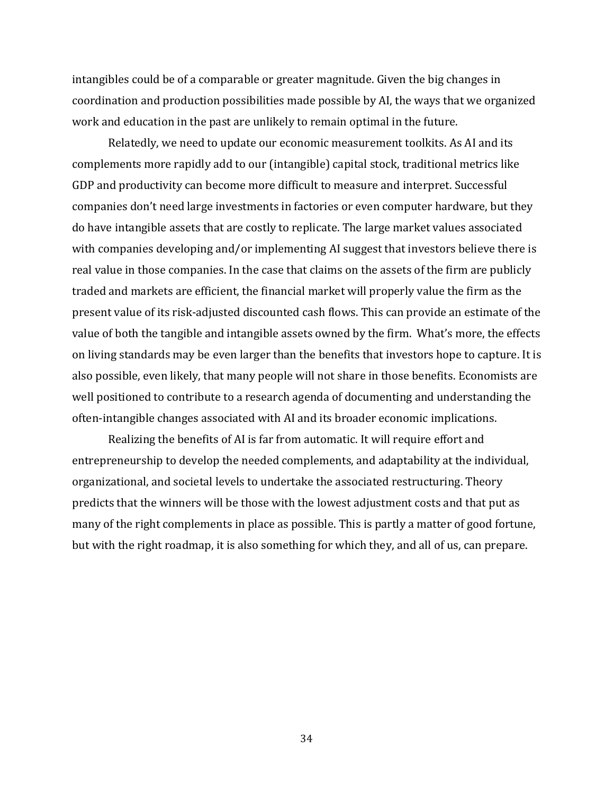intangibles could be of a comparable or greater magnitude. Given the big changes in coordination and production possibilities made possible by AI, the ways that we organized work and education in the past are unlikely to remain optimal in the future.

Relatedly, we need to update our economic measurement toolkits. As AI and its complements more rapidly add to our (intangible) capital stock, traditional metrics like GDP and productivity can become more difficult to measure and interpret. Successful companies don't need large investments in factories or even computer hardware, but they do have intangible assets that are costly to replicate. The large market values associated with companies developing and/or implementing AI suggest that investors believe there is real value in those companies. In the case that claims on the assets of the firm are publicly traded and markets are efficient, the financial market will properly value the firm as the present value of its risk-adjusted discounted cash flows. This can provide an estimate of the value of both the tangible and intangible assets owned by the firm. What's more, the effects on living standards may be even larger than the benefits that investors hope to capture. It is also possible, even likely, that many people will not share in those benefits. Economists are well positioned to contribute to a research agenda of documenting and understanding the often-intangible changes associated with AI and its broader economic implications.

Realizing the benefits of AI is far from automatic. It will require effort and entrepreneurship to develop the needed complements, and adaptability at the individual, organizational, and societal levels to undertake the associated restructuring. Theory predicts that the winners will be those with the lowest adjustment costs and that put as many of the right complements in place as possible. This is partly a matter of good fortune, but with the right roadmap, it is also something for which they, and all of us, can prepare.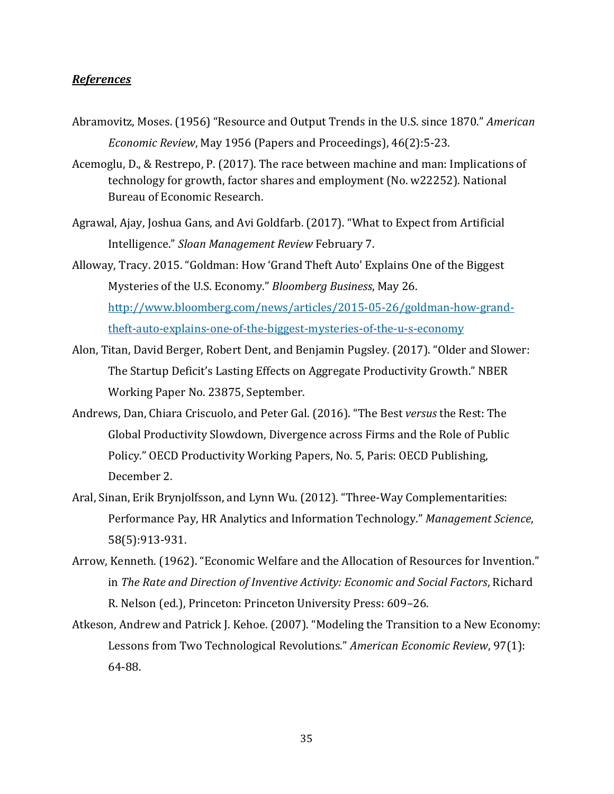# *References*

- Abramovitz, Moses. (1956) "Resource and Output Trends in the U.S. since 1870." *American Economic Review*, May 1956 (Papers and Proceedings), 46(2):5-23.
- Acemoglu, D., & Restrepo, P. (2017). The race between machine and man: Implications of technology for growth, factor shares and employment (No. w22252). National Bureau of Economic Research.
- Agrawal, Ajay, Joshua Gans, and Avi Goldfarb. (2017). "What to Expect from Artificial Intelligence." *Sloan Management Review* February 7.
- Alloway, Tracy. 2015. "Goldman: How 'Grand Theft Auto' Explains One of the Biggest Mysteries of the U.S. Economy." *Bloomberg Business*, May 26. [http://www.bloomberg.com/news/articles/2015-05-26/goldman-how-grand](http://www.bloomberg.com/news/articles/2015-05-26/goldman-how-grand-theft-auto-explains-one-of-the-biggest-mysteries-of-the-u-s-economy)[theft-auto-explains-one-of-the-biggest-mysteries-of-the-u-s-economy](http://www.bloomberg.com/news/articles/2015-05-26/goldman-how-grand-theft-auto-explains-one-of-the-biggest-mysteries-of-the-u-s-economy)
- Alon, Titan, David Berger, Robert Dent, and Benjamin Pugsley. (2017). "Older and Slower: The Startup Deficit's Lasting Effects on Aggregate Productivity Growth." NBER Working Paper No. 23875, September.
- Andrews, Dan, Chiara Criscuolo, and Peter Gal. (2016). "The Best *versus* the Rest: The Global Productivity Slowdown, Divergence across Firms and the Role of Public Policy." OECD Productivity Working Papers, No. 5, Paris: OECD Publishing, December 2.
- Aral, Sinan, Erik Brynjolfsson, and Lynn Wu. (2012). "Three-Way Complementarities: Performance Pay, HR Analytics and Information Technology." *Management Science*, 58(5):913-931.
- Arrow, Kenneth. (1962). "Economic Welfare and the Allocation of Resources for Invention." in *The Rate and Direction of Inventive Activity: Economic and Social Factors*, Richard R. Nelson (ed.), Princeton: Princeton University Press: 609–26.
- Atkeson, Andrew and Patrick J. Kehoe. (2007). "Modeling the Transition to a New Economy: Lessons from Two Technological Revolutions." *American Economic Review*, 97(1): 64-88.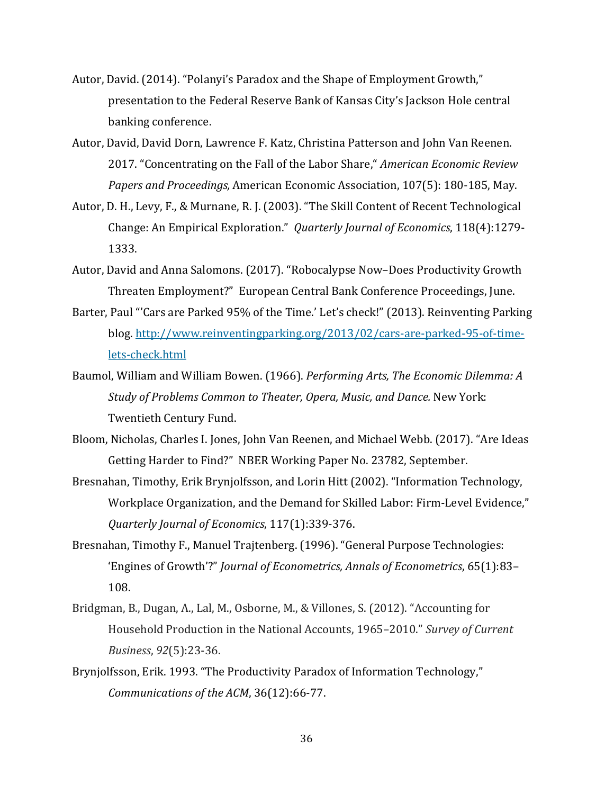- Autor, David. (2014). "Polanyi's Paradox and the Shape of Employment Growth," presentation to the Federal Reserve Bank of Kansas City's Jackson Hole central banking conference.
- Autor, David, David Dorn, Lawrence F. Katz, Christina Patterson and John Van Reenen. 2017. ["Concentrating on the Fall of the Labor Share,"](http://ideas.repec.org/a/aea/aecrev/v107y2017i5p180-85.html) *American Economic Review Papers and Proceedings,* American Economic Association, 107(5): 180-185, May.
- Autor, D. H., Levy, F., & Murnane, R. J. (2003). "The Skill Content of Recent Technological Change: An Empirical Exploration." *Quarterly Journal of Economics*, 118(4):1279- 1333.
- Autor, David and Anna Salomons. (2017). "Robocalypse Now–Does Productivity Growth Threaten Employment?" European Central Bank Conference Proceedings, June.
- Barter, Paul "'Cars are Parked 95% of the Time.' Let's check!" (2013). Reinventing Parking blog. [http://www.reinventingparking.org/2013/02/cars-are-parked-95-of-time](http://www.reinventingparking.org/2013/02/cars-are-parked-95-of-time-lets-check.html)[lets-check.html](http://www.reinventingparking.org/2013/02/cars-are-parked-95-of-time-lets-check.html)
- Baumol, William and William Bowen. (1966). *Performing Arts, The Economic Dilemma: A Study of Problems Common to Theater, Opera, Music, and Dance.* New York: Twentieth Century Fund.
- Bloom, Nicholas, Charles I. Jones, John Van Reenen, and Michael Webb. (2017). "Are Ideas Getting Harder to Find?" NBER Working Paper No. 23782, September.
- Bresnahan, Timothy, Erik Brynjolfsson, and Lorin Hitt (2002). "Information Technology, Workplace Organization, and the Demand for Skilled Labor: Firm-Level Evidence," *Quarterly Journal of Economics*, 117(1):339-376.
- Bresnahan, Timothy F., Manuel Trajtenberg. (1996). "General Purpose Technologies: 'Engines of Growth'?" *Journal of Econometrics, Annals of Econometrics*, 65(1):83– 108.
- Bridgman, B., Dugan, A., Lal, M., Osborne, M., & Villones, S. (2012). "Accounting for Household Production in the National Accounts, 1965–2010." *Survey of Current Business*, *92*(5):23-36.
- Brynjolfsson, Erik. 1993. "The Productivity Paradox of Information Technology," *Communications of the ACM*, 36(12):66-77.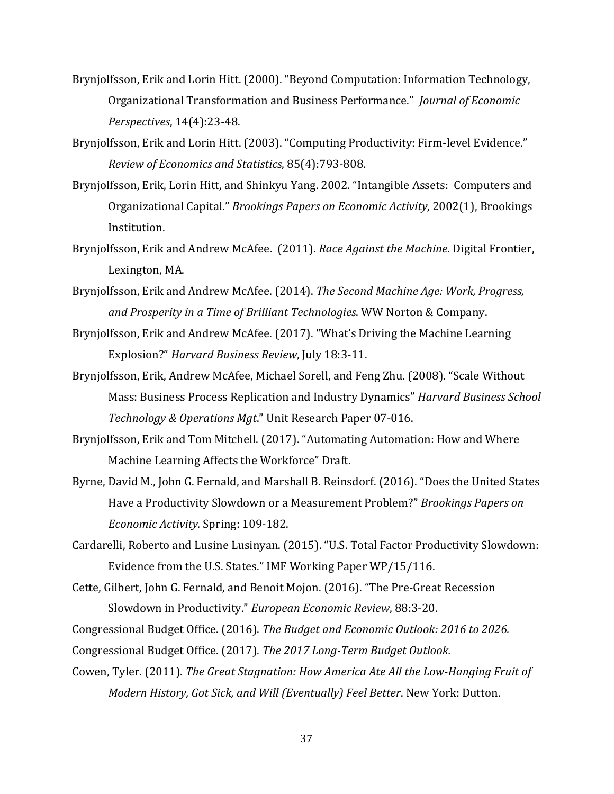- Brynjolfsson, Erik and Lorin Hitt. (2000). "Beyond Computation: Information Technology, Organizational Transformation and Business Performance." *Journal of Economic Perspectives*, 14(4):23-48.
- Brynjolfsson, Erik and Lorin Hitt. (2003). "Computing Productivity: Firm-level Evidence." *Review of Economics and Statistics*, 85(4):793-808.
- Brynjolfsson, Erik, Lorin Hitt, and Shinkyu Yang. 2002. "Intangible Assets: Computers and Organizational Capital." *Brookings Papers on Economic Activity*, 2002(1), Brookings Institution.
- Brynjolfsson, Erik and Andrew McAfee. (2011). *Race Against the Machine*. Digital Frontier, Lexington, MA.
- Brynjolfsson, Erik and Andrew McAfee. (2014). *The Second Machine Age: Work, Progress, and Prosperity in a Time of Brilliant Technologies*. WW Norton & Company.
- Brynjolfsson, Erik and Andrew McAfee. (2017). "What's Driving the Machine Learning Explosion?" *Harvard Business Review*, July 18:3-11.
- Brynjolfsson, Erik, Andrew McAfee, Michael Sorell, and Feng Zhu. (2008). "Scale Without Mass: Business Process Replication and Industry Dynamics" *Harvard Business School Technology & Operations Mgt*." Unit Research Paper 07-016.
- Brynjolfsson, Erik and Tom Mitchell. (2017). "Automating Automation: How and Where Machine Learning Affects the Workforce" Draft.
- Byrne, David M., John G. Fernald, and Marshall B. Reinsdorf. (2016). "Does the United States Have a Productivity Slowdown or a Measurement Problem?" *Brookings Papers on Economic Activity*. Spring: 109-182.
- Cardarelli, Roberto and Lusine Lusinyan. (2015). "U.S. Total Factor Productivity Slowdown: Evidence from the U.S. States." IMF Working Paper WP/15/116.
- Cette, Gilbert, John G. Fernald, and Benoit Mojon. (2016). "The Pre-Great Recession Slowdown in Productivity." *European Economic Review*, 88:3-20.
- Congressional Budget Office. (2016). *The Budget and Economic Outlook: 2016 to 2026.*
- Congressional Budget Office. (2017). *The 2017 Long-Term Budget Outlook.*
- Cowen, Tyler. (2011). *The Great Stagnation: How America Ate All the Low-Hanging Fruit of Modern History, Got Sick, and Will (Eventually) Feel Better*. New York: Dutton.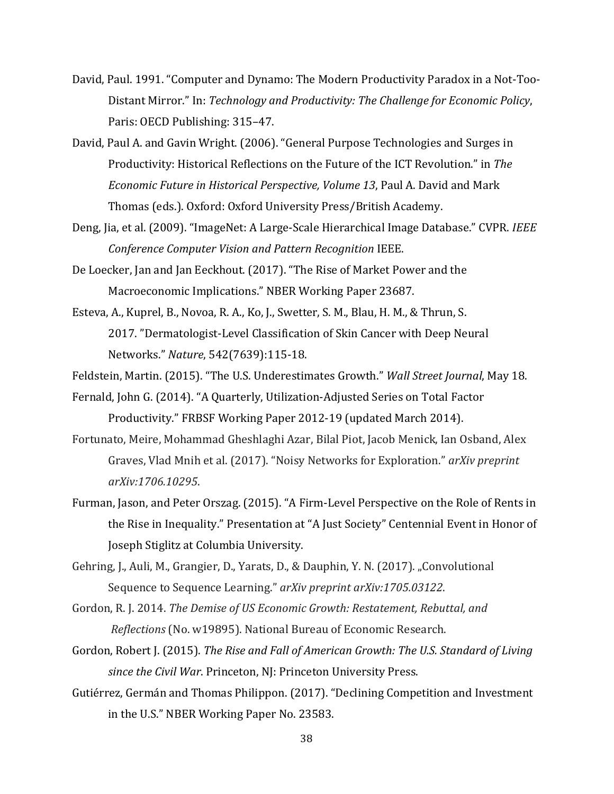- David, Paul. 1991. "Computer and Dynamo: The Modern Productivity Paradox in a Not-Too-Distant Mirror." In: *Technology and Productivity: The Challenge for Economic Policy*, Paris: OECD Publishing: 315–47.
- David, Paul A. and Gavin Wright. (2006). "General Purpose Technologies and Surges in Productivity: Historical Reflections on the Future of the ICT Revolution." in *The Economic Future in Historical Perspective, Volume 13*, Paul A. David and Mark Thomas (eds.). Oxford: Oxford University Press/British Academy.
- Deng, Jia, et al. (2009). "ImageNet: A Large-Scale Hierarchical Image Database." CVPR. *IEEE Conference Computer Vision and Pattern Recognition* IEEE.
- De Loecker, Jan and Jan Eeckhout. (2017). "The Rise of Market Power and the Macroeconomic Implications." NBER Working Paper 23687.
- Esteva, A., Kuprel, B., Novoa, R. A., Ko, J., Swetter, S. M., Blau, H. M., & Thrun, S. 2017. "Dermatologist-Level Classification of Skin Cancer with Deep Neural Networks." *Nature*, 542(7639):115-18.
- Feldstein, Martin. (2015). "The U.S. Underestimates Growth." *Wall Street Journal*, May 18.
- Fernald, John G. (2014). "A Quarterly, Utilization-Adjusted Series on Total Factor Productivity." FRBSF Working Paper 2012-19 (updated March 2014).
- Fortunato, Meire, Mohammad Gheshlaghi Azar, Bilal Piot, Jacob Menick, Ian Osband, Alex Graves, Vlad Mnih et al. (2017). "Noisy Networks for Exploration." *arXiv preprint arXiv:1706.10295*.
- Furman, Jason, and Peter Orszag. (2015). "A Firm-Level Perspective on the Role of Rents in the Rise in Inequality." Presentation at "A Just Society" Centennial Event in Honor of Joseph Stiglitz at Columbia University.
- Gehring, J., Auli, M., Grangier, D., Yarats, D., & Dauphin, Y. N. (2017). "Convolutional Sequence to Sequence Learning." *arXiv preprint arXiv:1705.03122*.
- Gordon, R. J. 2014. *The Demise of US Economic Growth: Restatement, Rebuttal, and Reflections* (No. w19895). National Bureau of Economic Research.
- Gordon, Robert J. (2015). *The Rise and Fall of American Growth: The U.S. Standard of Living since the Civil War*. Princeton, NJ: Princeton University Press.
- [Gutiérrez,](http://www.nber.org/people/german_gutierrez) Germán an[d Thomas Philippon.](http://www.nber.org/people/thomas_philippon) (2017). "Declining Competition and Investment in the U.S." NBER Working Paper No. 23583.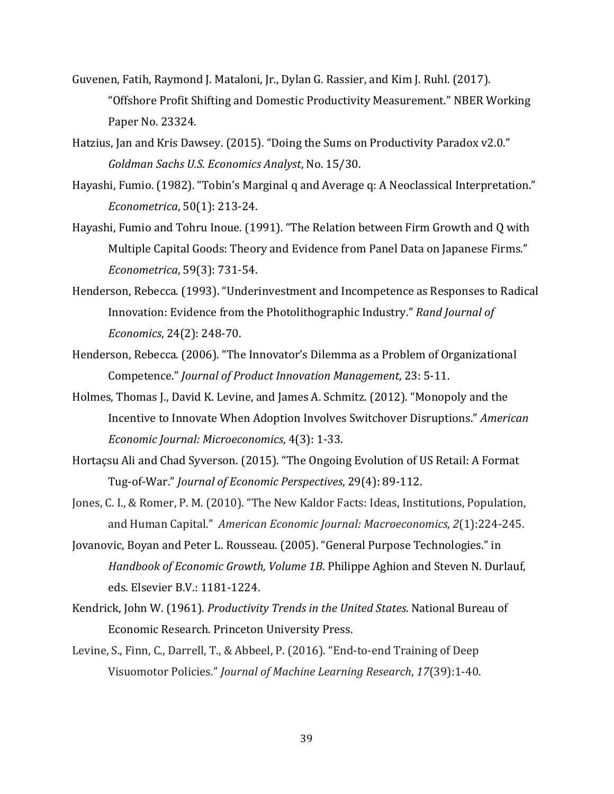- Guvenen, Fatih, Raymond J. Mataloni, Jr., Dylan G. Rassier, and Kim J. Ruhl. (2017). "Offshore Profit Shifting and Domestic Productivity Measurement." NBER Working Paper No. 23324.
- Hatzius, Jan and Kris Dawsey. (2015). "Doing the Sums on Productivity Paradox v2.0." *Goldman Sachs U.S. Economics Analyst*, No. 15/30.
- Hayashi, Fumio. (1982). "Tobin's Marginal q and Average q: A Neoclassical Interpretation." *Econometrica*, 50(1): 213-24.
- Hayashi, Fumio and Tohru Inoue. (1991). "The Relation between Firm Growth and Q with Multiple Capital Goods: Theory and Evidence from Panel Data on Japanese Firms." *Econometrica*, 59(3): 731-54.
- Henderson, Rebecca. (1993). "Underinvestment and Incompetence as Responses to Radical Innovation: Evidence from the Photolithographic Industry." *Rand Journal of Economics*, 24(2): 248-70.
- Henderson, Rebecca. (2006). "The Innovator's Dilemma as a Problem of Organizational Competence." *Journal of Product Innovation Management*, 23: 5-11.
- Holmes, Thomas J., David K. Levine, and James A. Schmitz. (2012). "Monopoly and the Incentive to Innovate When Adoption Involves Switchover Disruptions." *American Economic Journal: Microeconomics*, 4(3): 1-33.
- Hortaçsu Ali and Chad Syverson. (2015). "The Ongoing Evolution of US Retail: A Format Tug-of-War." *Journal of Economic Perspectives*, 29(4): 89-112.
- Jones, C. I., & Romer, P. M. (2010). "The New Kaldor Facts: Ideas, Institutions, Population, and Human Capital." *American Economic Journal: Macroeconomics*, *2*(1):224-245.
- Jovanovic, Boyan and Peter L. Rousseau. (2005). "General Purpose Technologies." in *Handbook of Economic Growth, Volume 1B*. Philippe Aghion and Steven N. Durlauf, eds. Elsevier B.V.: 1181-1224.
- Kendrick, John W. (1961). *Productivity Trends in the United States*. National Bureau of Economic Research. Princeton University Press.
- Levine, S., Finn, C., Darrell, T., & Abbeel, P. (2016). "End-to-end Training of Deep Visuomotor Policies." *Journal of Machine Learning Research*, *17*(39):1-40.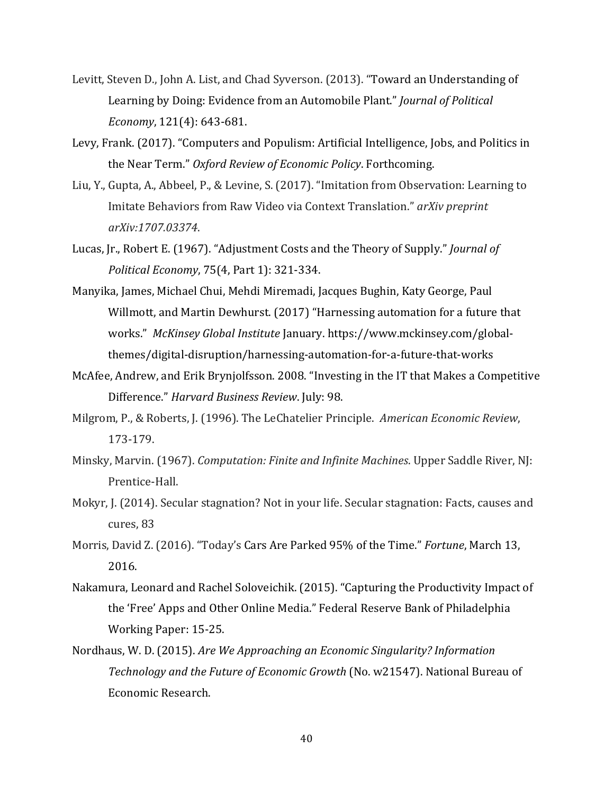- Levitt, Steven D., John A. List, and Chad Syverson. (2013). "Toward an Understanding of Learning by Doing: Evidence from an Automobile Plant." *Journal of Political Economy*, 121(4): 643-681.
- Levy, Frank. (2017). "Computers and Populism: Artificial Intelligence, Jobs, and Politics in the Near Term." *Oxford Review of Economic Policy*. Forthcoming.
- Liu, Y., Gupta, A., Abbeel, P., & Levine, S. (2017). "Imitation from Observation: Learning to Imitate Behaviors from Raw Video via Context Translation." *arXiv preprint arXiv:1707.03374*.
- Lucas, Jr., Robert E. (1967). "Adjustment Costs and the Theory of Supply." *Journal of Political Economy*, 75(4, Part 1): 321-334.
- Manyika, James, Michael Chui, Mehdi Miremadi, Jacques Bughin, Katy George, Paul Willmott, and Martin Dewhurst. (2017) "Harnessing automation for a future that works." *McKinsey Global Institute* January. https://www.mckinsey.com/globalthemes/digital-disruption/harnessing-automation-for-a-future-that-works
- McAfee, Andrew, and Erik Brynjolfsson. 2008. "Investing in the IT that Makes a Competitive Difference." *Harvard Business Review*. July: 98.
- Milgrom, P., & Roberts, J. (1996). The LeChatelier Principle. *American Economic Review*, 173-179.
- Minsky, Marvin. (1967). *Computation: Finite and Infinite Machines*. Upper Saddle River, NJ: Prentice-Hall.
- Mokyr, J. (2014). Secular stagnation? Not in your life. Secular stagnation: Facts, causes and cures, 83
- Morris, David Z. (2016). "Today's Cars Are Parked 95% of the Time." *Fortune*, March 13, 2016.
- Nakamura, Leonard and Rachel Soloveichik. (2015). "Capturing the Productivity Impact of the 'Free' Apps and Other Online Media." Federal Reserve Bank of Philadelphia Working Paper: 15-25.
- Nordhaus, W. D. (2015). *Are We Approaching an Economic Singularity? Information Technology and the Future of Economic Growth* (No. w21547). National Bureau of Economic Research.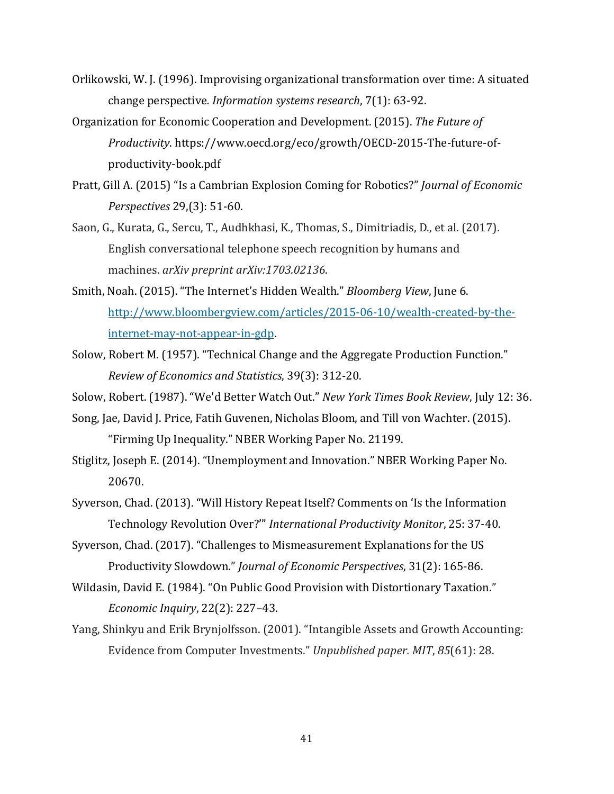- Orlikowski, W. J. (1996). Improvising organizational transformation over time: A situated change perspective*. Information systems research*, 7(1): 63-92.
- Organization for Economic Cooperation and Development. (2015). *The Future of Productivity*. https://www.oecd.org/eco/growth/OECD-2015-The-future-ofproductivity-book.pdf
- Pratt, Gill A. (2015) "Is a Cambrian Explosion Coming for Robotics?" *Journal of Economic Perspectives* 29,(3): 51-60.
- Saon, G., Kurata, G., Sercu, T., Audhkhasi, K., Thomas, S., Dimitriadis, D., et al. (2017). English conversational telephone speech recognition by humans and machines. *arXiv preprint arXiv:1703.02136*.
- Smith, Noah. (2015). "The Internet's Hidden Wealth." *Bloomberg View*, June 6. [http://www.bloombergview.com/articles/2015-06-10/wealth-created-by-the](http://www.bloombergview.com/articles/2015-06-10/wealth-created-by-the-internet-may-not-appear-in-gdp)[internet-may-not-appear-in-gdp.](http://www.bloombergview.com/articles/2015-06-10/wealth-created-by-the-internet-may-not-appear-in-gdp)
- Solow, Robert M. (1957). "Technical Change and the Aggregate Production Function." *Review of Economics and Statistics*, 39(3): 312-20.

Solow, Robert. (1987). "We'd Better Watch Out." *New York Times Book Review*, July 12: 36.

- Song, Jae, David J. Price, Fatih Guvenen, Nicholas Bloom, and Till von Wachter. (2015). "Firming Up Inequality." NBER Working Paper No. 21199.
- Stiglitz, Joseph E. (2014). "Unemployment and Innovation." NBER Working Paper No. 20670.
- Syverson, Chad. (2013). "Will History Repeat Itself? Comments on 'Is the Information Technology Revolution Over?'" *International Productivity Monitor*, 25: 37-40.
- Syverson, Chad. (2017). "Challenges to Mismeasurement Explanations for the US Productivity Slowdown." *Journal of Economic Perspectives*, 31(2): 165-86.
- Wildasin, David E. (1984). "On Public Good Provision with Distortionary Taxation." *Economic Inquiry*, 22(2): 227–43.
- Yang, Shinkyu and Erik Brynjolfsson. (2001). "Intangible Assets and Growth Accounting: Evidence from Computer Investments." *Unpublished paper. MIT*, *85*(61): 28.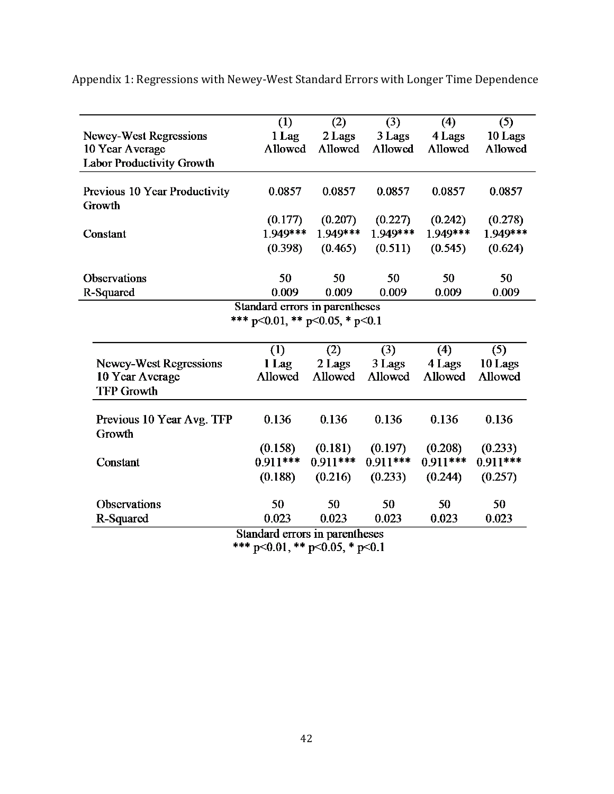|                                  | (1)                            | (2)        | (3)        | (4)        | (5)        |  |  |
|----------------------------------|--------------------------------|------------|------------|------------|------------|--|--|
| <b>Newey-West Regressions</b>    | 1 Lag                          | 2 Lags     | 3 Lags     | 4 Lags     | 10 Lags    |  |  |
| 10 Year Average                  | <b>Allowed</b>                 | Allowed    | Allowed    | Allowed    | Allowed    |  |  |
| <b>Labor Productivity Growth</b> |                                |            |            |            |            |  |  |
|                                  |                                |            |            |            |            |  |  |
| Previous 10 Year Productivity    | 0.0857                         | 0.0857     | 0.0857     | 0.0857     | 0.0857     |  |  |
| Growth                           |                                |            |            |            |            |  |  |
|                                  | (0.177)                        | (0.207)    | (0.227)    | (0.242)    | (0.278)    |  |  |
| Constant                         | 1.949***                       | 1.949 ***  | 1.949***   | 1.949 ***  | 1.949 ***  |  |  |
|                                  | (0.398)                        | (0.465)    | (0.511)    | (0.545)    | (0.624)    |  |  |
|                                  |                                |            |            |            |            |  |  |
|                                  |                                |            |            |            |            |  |  |
| <b>Observations</b>              | 50                             | 50         | 50         | 50         | 50         |  |  |
| R-Squared                        | 0.009                          | 0.009      | 0.009      | 0.009      | 0.009      |  |  |
|                                  | Standard errors in parentheses |            |            |            |            |  |  |
|                                  | *** p<0.01, ** p<0.05, * p<0.1 |            |            |            |            |  |  |
|                                  |                                |            |            |            |            |  |  |
|                                  | (1)                            | (2)        | (3)        | (4)        | (5)        |  |  |
| <b>Newey-West Regressions</b>    | 1 Lag                          | 2 Lags     | 3 Lags     | 4 Lags     | 10 Lags    |  |  |
| 10 Year Average                  | Allowed                        | Allowed    | Allowed    | Allowed    | Allowed    |  |  |
| <b>TFP Growth</b>                |                                |            |            |            |            |  |  |
|                                  |                                |            |            |            |            |  |  |
| Previous 10 Year Avg. TFP        | 0.136                          | 0.136      | 0.136      | 0.136      | 0.136      |  |  |
| Growth                           |                                |            |            |            |            |  |  |
|                                  | (0.158)                        | (0.181)    | (0.197)    | (0.208)    | (0.233)    |  |  |
|                                  | $0.911***$                     | $0.911***$ | $0.911***$ | $0.911***$ | $0.911***$ |  |  |
| Constant                         |                                |            |            |            |            |  |  |
|                                  | (0.188)                        | (0.216)    | (0.233)    | (0.244)    | (0.257)    |  |  |
|                                  |                                |            |            |            |            |  |  |
| <b>Observations</b>              | 50                             | 50         | 50         | 50         | 50         |  |  |
| R-Squared                        | 0.023                          | 0.023      | 0.023      | 0.023      | 0.023      |  |  |
| Standard errors in parentheses   |                                |            |            |            |            |  |  |

Appendix 1: Regressions with Newey-West Standard Errors with Longer Time Dependence

Standard errors in parentheses<br>\*\*\* p<0.01, \*\* p<0.05, \* p<0.1